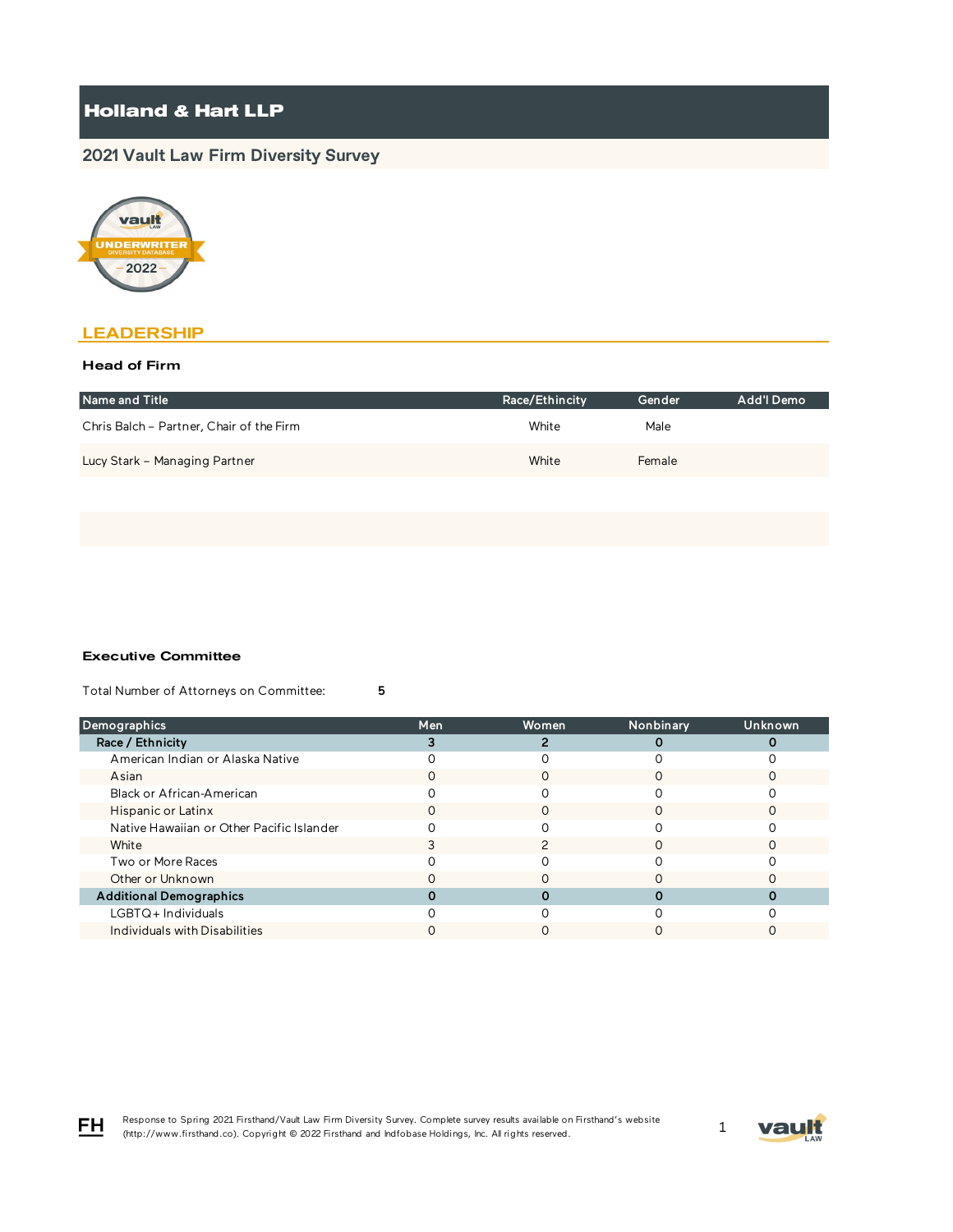## **2021 Vault Law Firm Diversity Survey**



## **LEADERSHIP**

#### Head of Firm

| Name and Title                           | Race/Ethincity | Gender | Add'l Demo |
|------------------------------------------|----------------|--------|------------|
| Chris Balch - Partner, Chair of the Firm | White          | Male   |            |
| Lucy Stark - Managing Partner            | White          | Female |            |

#### Executive Committee

Total Number of Attorneys on Committee: 5

| <b>Demographics</b>                       | Men | Women | Nonbinary | Unknown |
|-------------------------------------------|-----|-------|-----------|---------|
| Race / Ethnicity                          |     |       |           |         |
| American Indian or Alaska Native          |     |       |           |         |
| Asian                                     |     |       |           |         |
| Black or African-American                 |     |       |           |         |
| Hispanic or Latinx                        |     |       |           |         |
| Native Hawaiian or Other Pacific Islander |     |       |           |         |
| White                                     |     |       |           |         |
| Two or More Races                         |     |       |           |         |
| Other or Unknown                          |     |       |           |         |
| <b>Additional Demographics</b>            |     |       |           |         |
| $LGBTQ+$ Individuals                      |     |       |           |         |
| Individuals with Disabilities             |     |       |           |         |

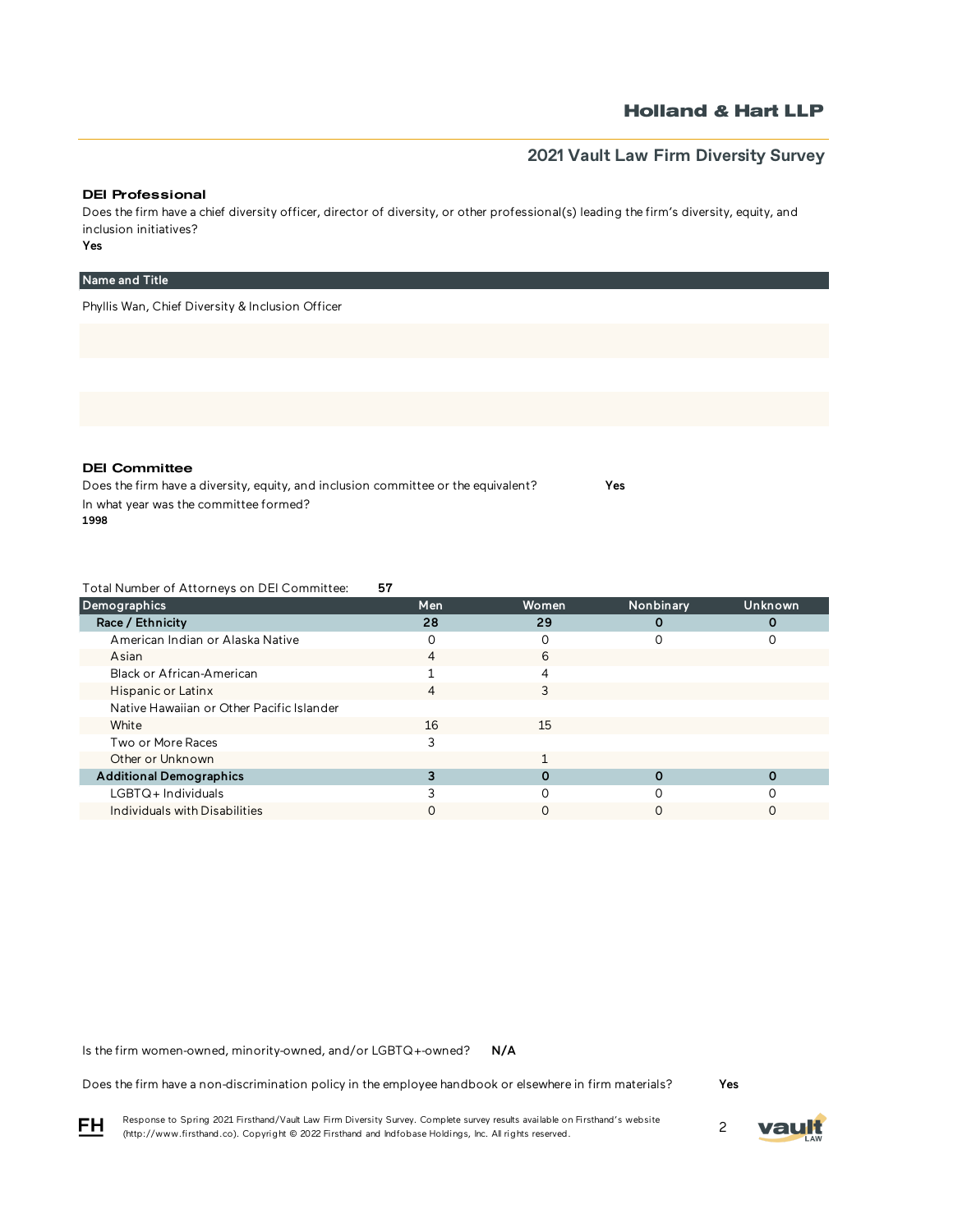## **2021 Vault Law Firm Diversity Survey**

#### DEI Professional

Does the firm have a chief diversity officer, director of diversity, or other professional(s) leading the firm's diversity, equity, and inclusion initiatives?

Yes

#### Name and Title

Phyllis Wan, Chief Diversity & Inclusion Officer

DEI Committee

Does the firm have a diversity, equity, and inclusion committee or the equivalent? Yes In what year was the committee formed? 1998

Total Number of Attorneys on DEI Committee: 57

| Demographics                              | Men | Women | Nonbinary | Unknown |
|-------------------------------------------|-----|-------|-----------|---------|
| Race / Ethnicity                          | 28  | 29    |           |         |
| American Indian or Alaska Native          |     |       |           |         |
| Asian                                     | 4   | 6     |           |         |
| Black or African-American                 |     | 4     |           |         |
| Hispanic or Latinx                        | 4   | 3     |           |         |
| Native Hawaiian or Other Pacific Islander |     |       |           |         |
| White                                     | 16  | 15    |           |         |
| Two or More Races                         |     |       |           |         |
| Other or Unknown                          |     |       |           |         |
| <b>Additional Demographics</b>            |     |       |           |         |
| LGBTQ+Individuals                         |     |       |           |         |
| Individuals with Disabilities             |     |       |           |         |

N/A Is the firm women-owned, minority-owned, and/or LGBTQ+-owned?

Does the firm have a non-discrimination policy in the employee handbook or elsewhere in firm materials?

Yes

Response to Spring 2021 Firsthand/Vault Law Firm Diversity Survey. Complete survey results available on Firsthand's website Response to Spring 2021 Firsthand/vault Law Firm Diversity Survey. Complete survey results available on Firsthand s website<br>(http://www.firsthand.co). Copyright © 2022 Firsthand and Indfobase Holdings, Inc. All rights rese

val

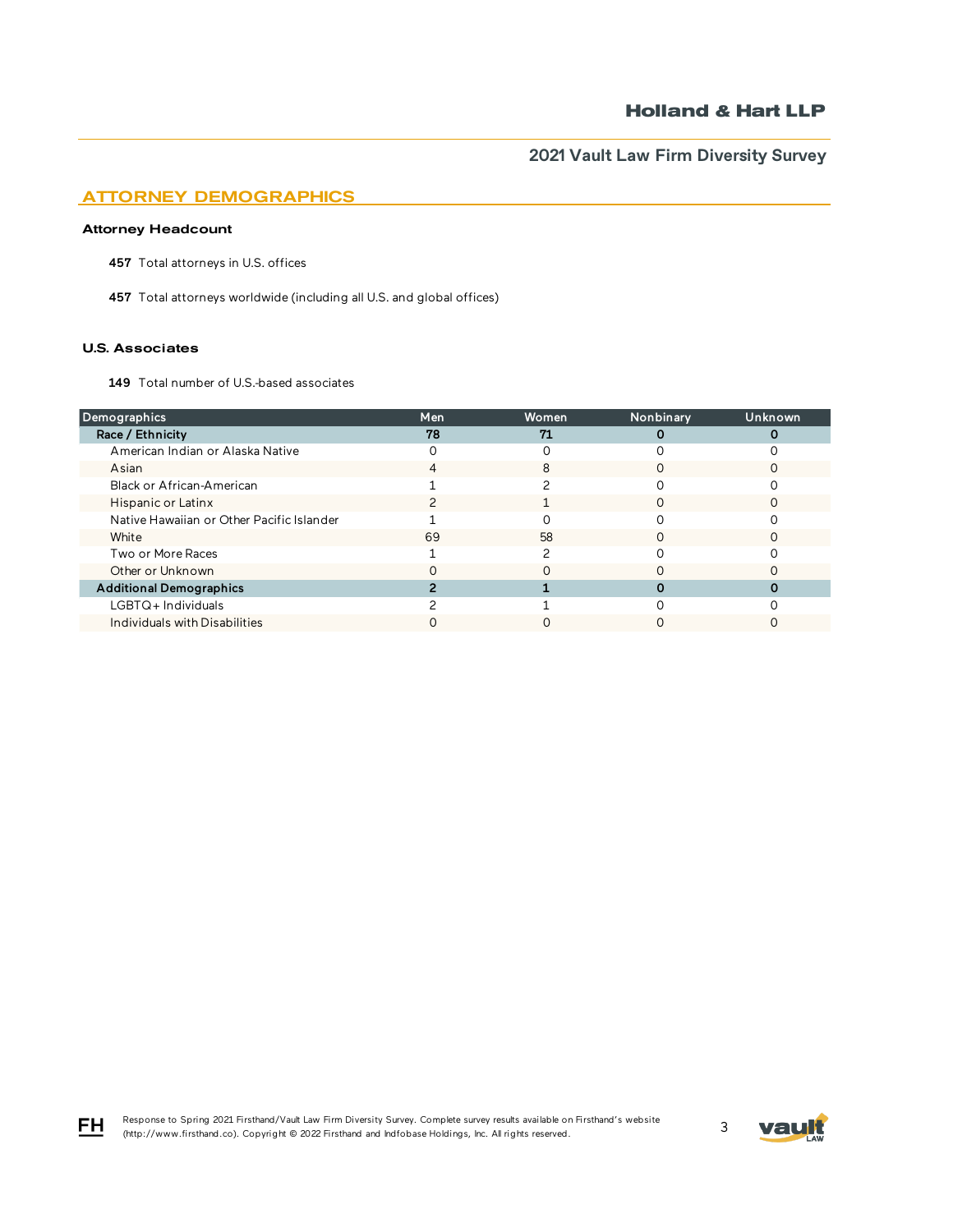## ATTORNEY DEMOGRAPHICS

#### Attorney Headcount

457 Total attorneys in U.S. offices

457 Total attorneys worldwide (including all U.S. and global offices)

#### U.S. Associates

FH

149 Total number of U.S.-based associates

| Demographics                              | Men | Women | Nonbinary | Unknown |
|-------------------------------------------|-----|-------|-----------|---------|
| Race / Ethnicity                          | 78  | 71    |           |         |
| American Indian or Alaska Native          |     |       |           |         |
| Asian                                     |     | 8     |           |         |
| Black or African-American                 |     |       |           |         |
| Hispanic or Latinx                        |     |       | ∩         |         |
| Native Hawaiian or Other Pacific Islander |     |       |           |         |
| White                                     | 69  | 58    |           |         |
| Two or More Races                         |     |       |           |         |
| Other or Unknown                          |     |       |           |         |
| <b>Additional Demographics</b>            |     |       |           |         |
| $LGBTQ+$ Individuals                      |     |       |           |         |
| Individuals with Disabilities             |     |       |           |         |

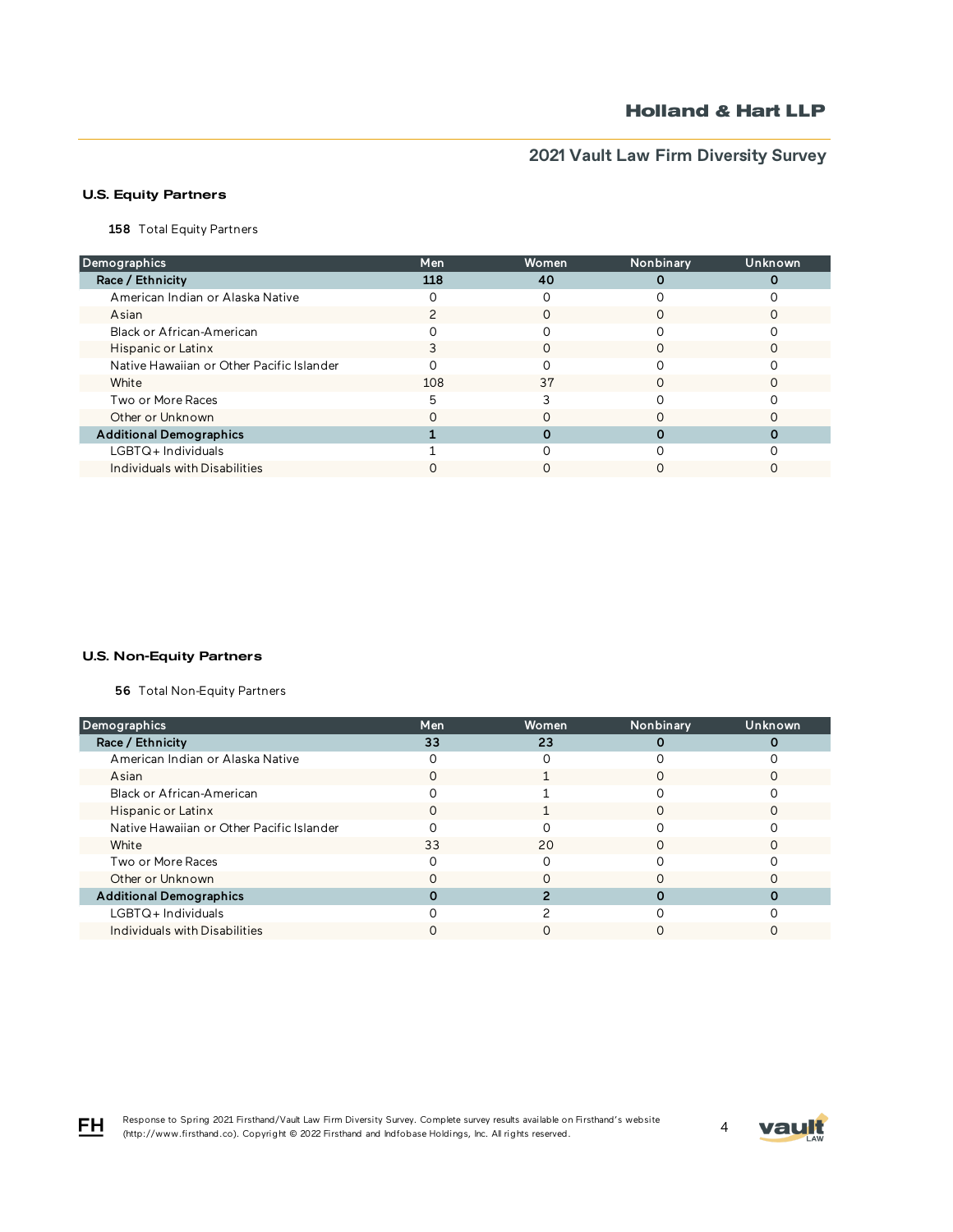# **2021 Vault Law Firm Diversity Survey**

## U.S. Equity Partners

158 Total Equity Partners

| Demographics                              | Men | Women | Nonbinary | Unknown |
|-------------------------------------------|-----|-------|-----------|---------|
| Race / Ethnicity                          | 118 | 40    |           |         |
| American Indian or Alaska Native          |     |       |           |         |
| Asian                                     |     |       |           |         |
| Black or African-American                 |     |       |           |         |
| <b>Hispanic or Latinx</b>                 |     | O     | $\Omega$  |         |
| Native Hawaiian or Other Pacific Islander |     |       |           |         |
| White                                     | 108 | 37    |           |         |
| Two or More Races                         | г,  |       |           |         |
| Other or Unknown                          |     |       |           |         |
| <b>Additional Demographics</b>            |     |       |           |         |
| LGBTQ+Individuals                         |     |       |           |         |
| Individuals with Disabilities             |     |       |           |         |

#### U.S. Non-Equity Partners

56 Total Non-Equity Partners

| Demographics                              | Men | Women | Nonbinary | Unknown |
|-------------------------------------------|-----|-------|-----------|---------|
| Race / Ethnicity                          | 33  | 23    |           |         |
| American Indian or Alaska Native          |     |       |           |         |
| Asian                                     |     |       |           |         |
| Black or African-American                 |     |       |           |         |
| Hispanic or Latinx                        |     |       |           |         |
| Native Hawaiian or Other Pacific Islander |     |       |           |         |
| White                                     | 33  | 20    | ∩         |         |
| Two or More Races                         |     |       |           |         |
| Other or Unknown                          |     |       |           |         |
| <b>Additional Demographics</b>            |     |       |           |         |
| LGBTQ+Individuals                         |     |       |           |         |
| Individuals with Disabilities             |     |       |           |         |

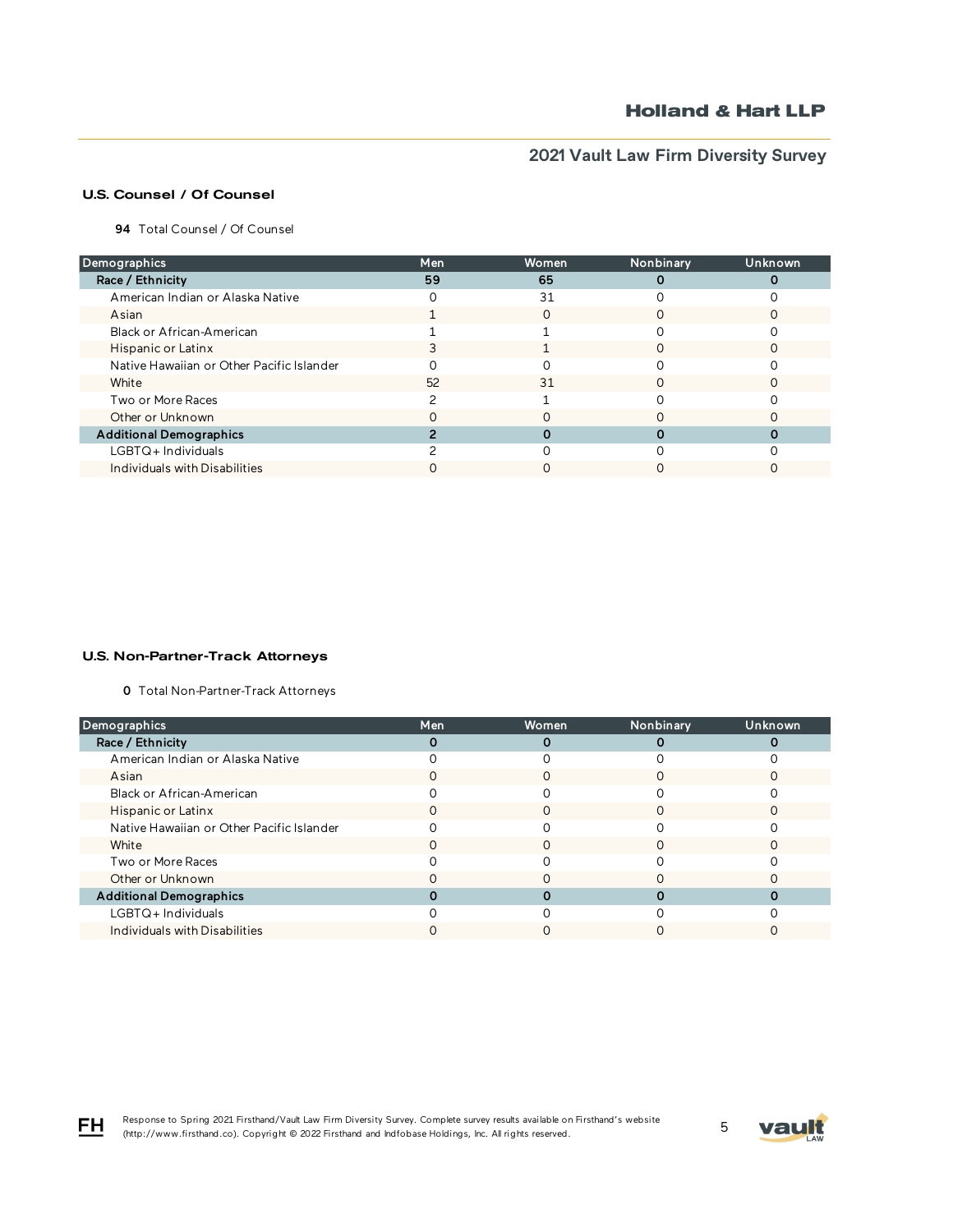# **2021 Vault Law Firm Diversity Survey**

## U.S. Counsel / Of Counsel

94 Total Counsel / Of Counsel

| Demographics                              | Men | Women | Nonbinary | Unknown |
|-------------------------------------------|-----|-------|-----------|---------|
| Race / Ethnicity                          | 59  | 65    |           |         |
| American Indian or Alaska Native          |     | 31    |           |         |
| Asian                                     |     |       |           |         |
| Black or African-American                 |     |       |           |         |
| Hispanic or Latinx                        |     |       | $\Omega$  |         |
| Native Hawaiian or Other Pacific Islander |     |       |           |         |
| White                                     | 52  | 31    |           |         |
| Two or More Races                         |     |       |           |         |
| Other or Unknown                          |     |       |           |         |
| <b>Additional Demographics</b>            |     |       |           |         |
| $LGBTQ+$ Individuals                      |     |       |           |         |
| Individuals with Disabilities             |     |       |           |         |

#### U.S. Non-Partner-Track Attorneys

0 Total Non-Partner-Track Attorneys

| Demographics                              | Men | Women | Nonbinary | Unknown |
|-------------------------------------------|-----|-------|-----------|---------|
| Race / Ethnicity                          |     | O     |           |         |
| American Indian or Alaska Native          |     |       |           |         |
| Asian                                     |     |       |           |         |
| Black or African-American                 |     |       |           |         |
| Hispanic or Latinx                        |     |       |           |         |
| Native Hawaiian or Other Pacific Islander |     |       |           |         |
| White                                     |     | ∩     | ∩         |         |
| Two or More Races                         |     |       |           |         |
| Other or Unknown                          |     |       |           |         |
| <b>Additional Demographics</b>            |     |       |           |         |
| LGBTQ+Individuals                         |     |       |           |         |
| Individuals with Disabilities             |     |       |           |         |

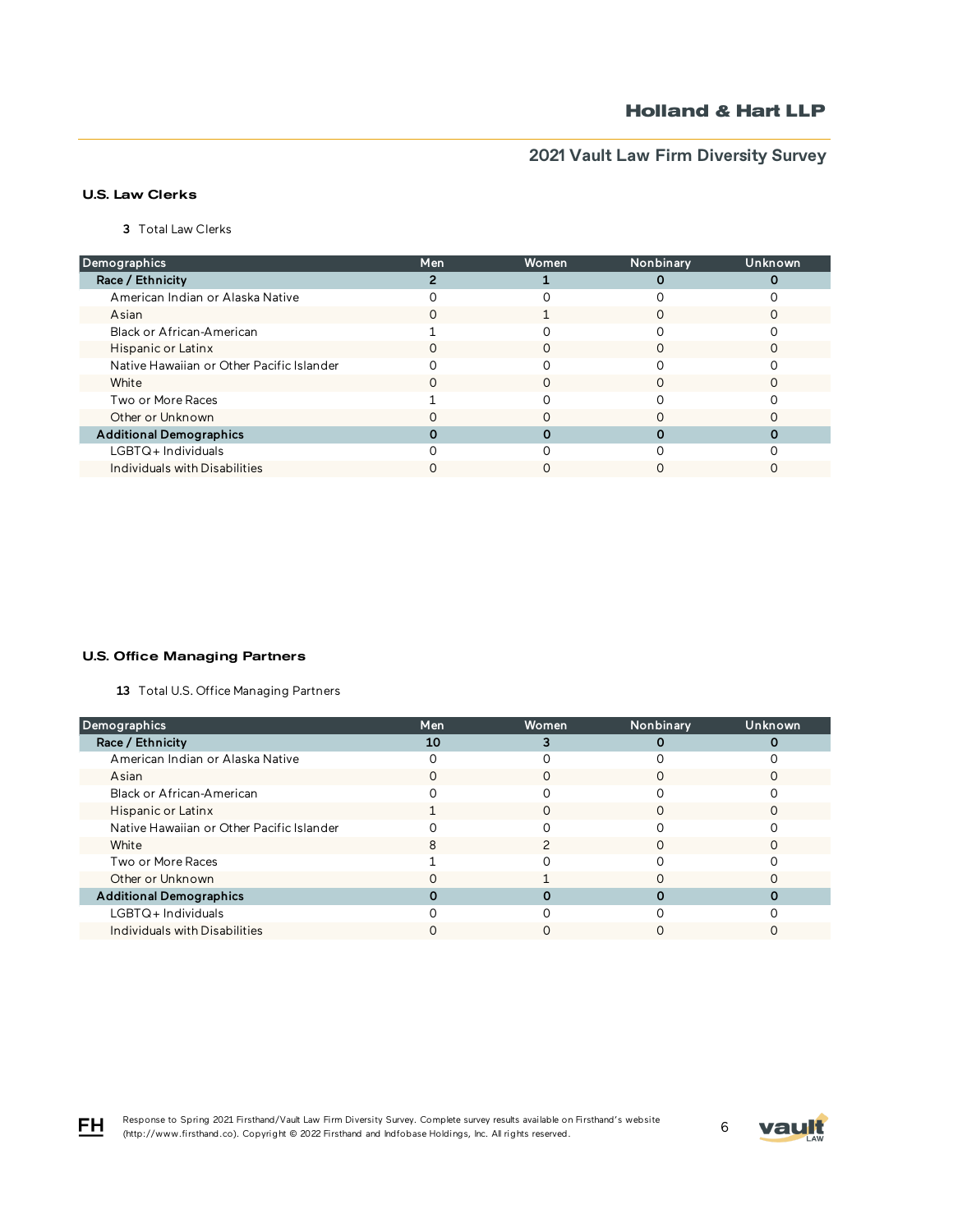# **2021 Vault Law Firm Diversity Survey**

## U.S. Law Clerks

3 Total Law Clerks

| Demographics                              | Men | Women | Nonbinary | Unknown |
|-------------------------------------------|-----|-------|-----------|---------|
| Race / Ethnicity                          |     |       |           |         |
| American Indian or Alaska Native          |     |       |           |         |
| Asian                                     |     |       |           |         |
| Black or African-American                 |     |       |           |         |
| Hispanic or Latinx                        |     |       | O         |         |
| Native Hawaiian or Other Pacific Islander |     |       |           |         |
| White                                     |     |       |           |         |
| Two or More Races                         |     |       |           |         |
| Other or Unknown                          |     |       |           |         |
| <b>Additional Demographics</b>            |     |       |           |         |
| LGBTQ+Individuals                         |     |       |           |         |
| Individuals with Disabilities             |     |       |           |         |

#### U.S. Office Managing Partners

13 Total U.S. Office Managing Partners

| Demographics                              | Men | Women | Nonbinary | Unknown |
|-------------------------------------------|-----|-------|-----------|---------|
| Race / Ethnicity                          | 10  |       |           |         |
| American Indian or Alaska Native          |     |       |           |         |
| Asian                                     |     |       |           |         |
| Black or African-American                 |     |       |           |         |
| Hispanic or Latinx                        |     |       |           |         |
| Native Hawaiian or Other Pacific Islander |     |       |           |         |
| White                                     | 8   |       | ∩         |         |
| Two or More Races                         |     |       |           |         |
| Other or Unknown                          |     |       |           |         |
| <b>Additional Demographics</b>            |     |       |           |         |
| $LGBTQ+$ Individuals                      |     |       |           |         |
| Individuals with Disabilities             |     |       |           |         |

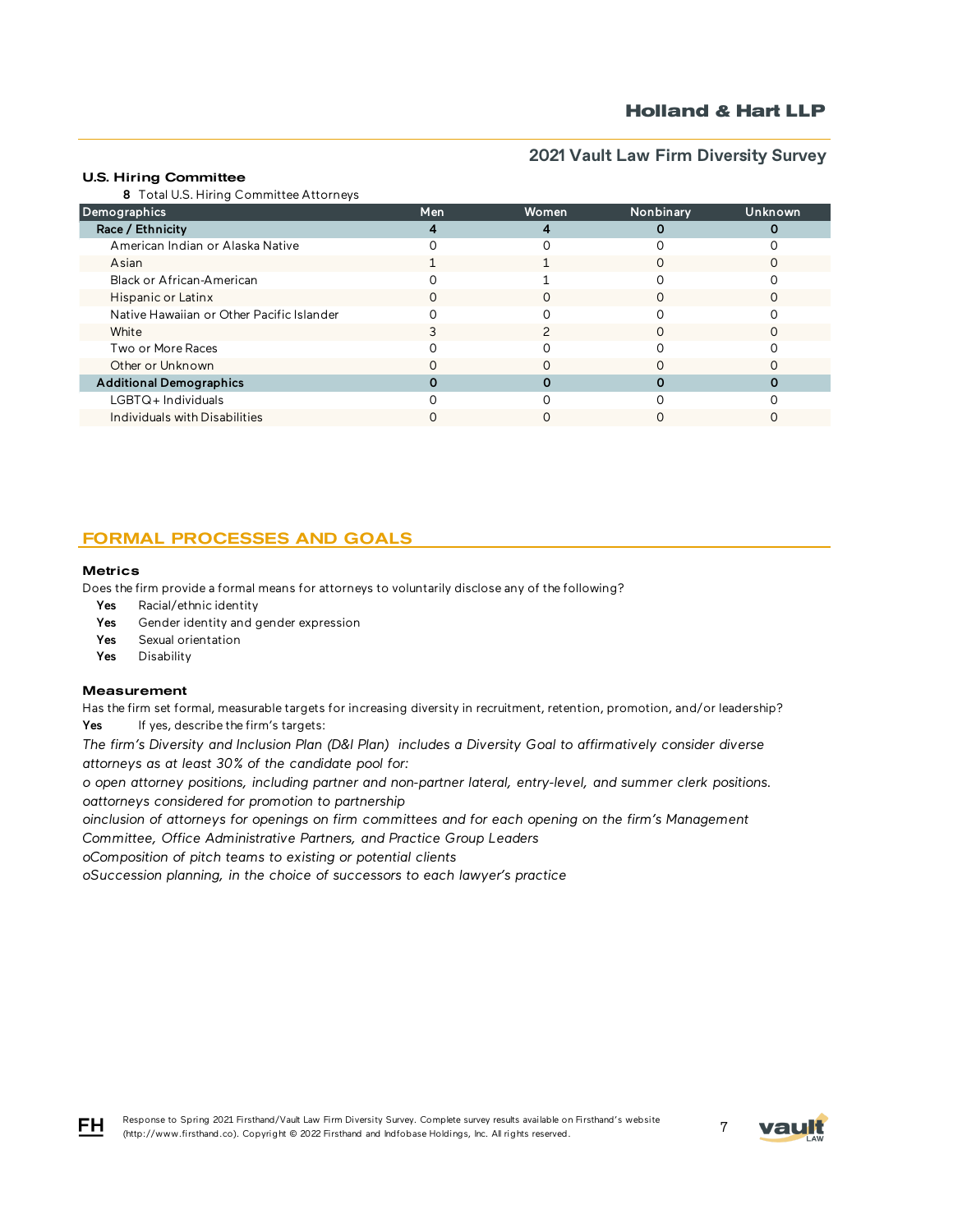#### U.S. Hiring Committee

8 Total U.S. Hiring Committee Attorneys

| Demographics                              | Men | Women | Nonbinary | Unknown |
|-------------------------------------------|-----|-------|-----------|---------|
| Race / Ethnicity                          |     |       |           |         |
| American Indian or Alaska Native          |     |       |           |         |
| Asian                                     |     |       |           |         |
| Black or African-American                 |     |       |           |         |
| Hispanic or Latinx                        |     |       |           |         |
| Native Hawaiian or Other Pacific Islander |     |       |           |         |
| White                                     |     |       |           |         |
| Two or More Races                         |     |       |           |         |
| Other or Unknown                          |     |       |           |         |
| <b>Additional Demographics</b>            |     |       |           |         |
| LGBTQ+ Individuals                        |     |       |           |         |
| Individuals with Disabilities             |     |       |           |         |

## FORMAL PROCESSES AND GOALS

#### **Metrics**

Does the firm provide a formal means for attorneys to voluntarily disclose any of the following?

- Yes Racial/ethnic identity
- Yes Gender identity and gender expression
- Yes Sexual orientation
- Yes Disability

#### **Measurement**

Has the firm set formal, measurable targets for increasing diversity in recruitment, retention, promotion, and/or leadership? Yes If yes, describe the firm's targets:

*The firm's Diversity and Inclusion Plan (D&I Plan) includes a Diversity Goal to affirmatively consider diverse attorneys as at least 30% of the candidate pool for:*

*o open attorney positions, including partner and non-partner lateral, entry-level, and summer clerk positions. oattorneys considered for promotion to partnership*

*oinclusion of attorneys for openings on firm committees and for each opening on the firm's Management Committee, Office Administrative Partners, and Practice Group Leaders*

*oComposition of pitch teams to existing or potential clients*

*oSuccession planning, in the choice of successors to each lawyer's practice*

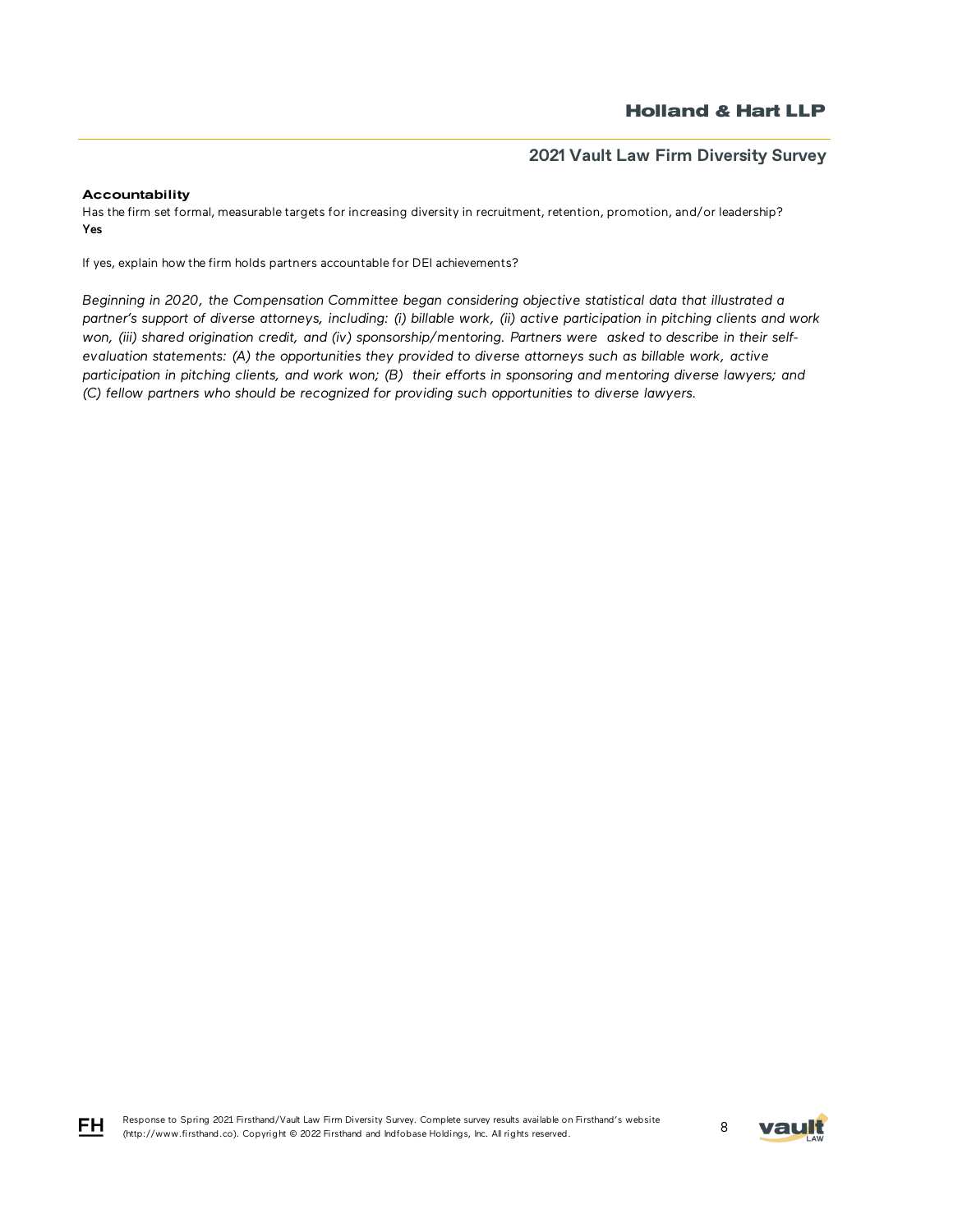### Accountability

FH

Has the firm set formal, measurable targets for increasing diversity in recruitment, retention, promotion, and/or leadership? Yes

If yes, explain how the firm holds partners accountable for DEI achievements?

*Beginning in 2020, the Compensation Committee began considering objective statistical data that illustrated a partner's support of diverse attorneys, including: (i) billable work, (ii) active participation in pitching clients and work won, (iii) shared origination credit, and (iv) sponsorship/mentoring. Partners were asked to describe in their selfevaluation statements: (A) the opportunities they provided to diverse attorneys such as billable work, active participation in pitching clients, and work won; (B) their efforts in sponsoring and mentoring diverse lawyers; and (C) fellow partners who should be recognized for providing such opportunities to diverse lawyers.*

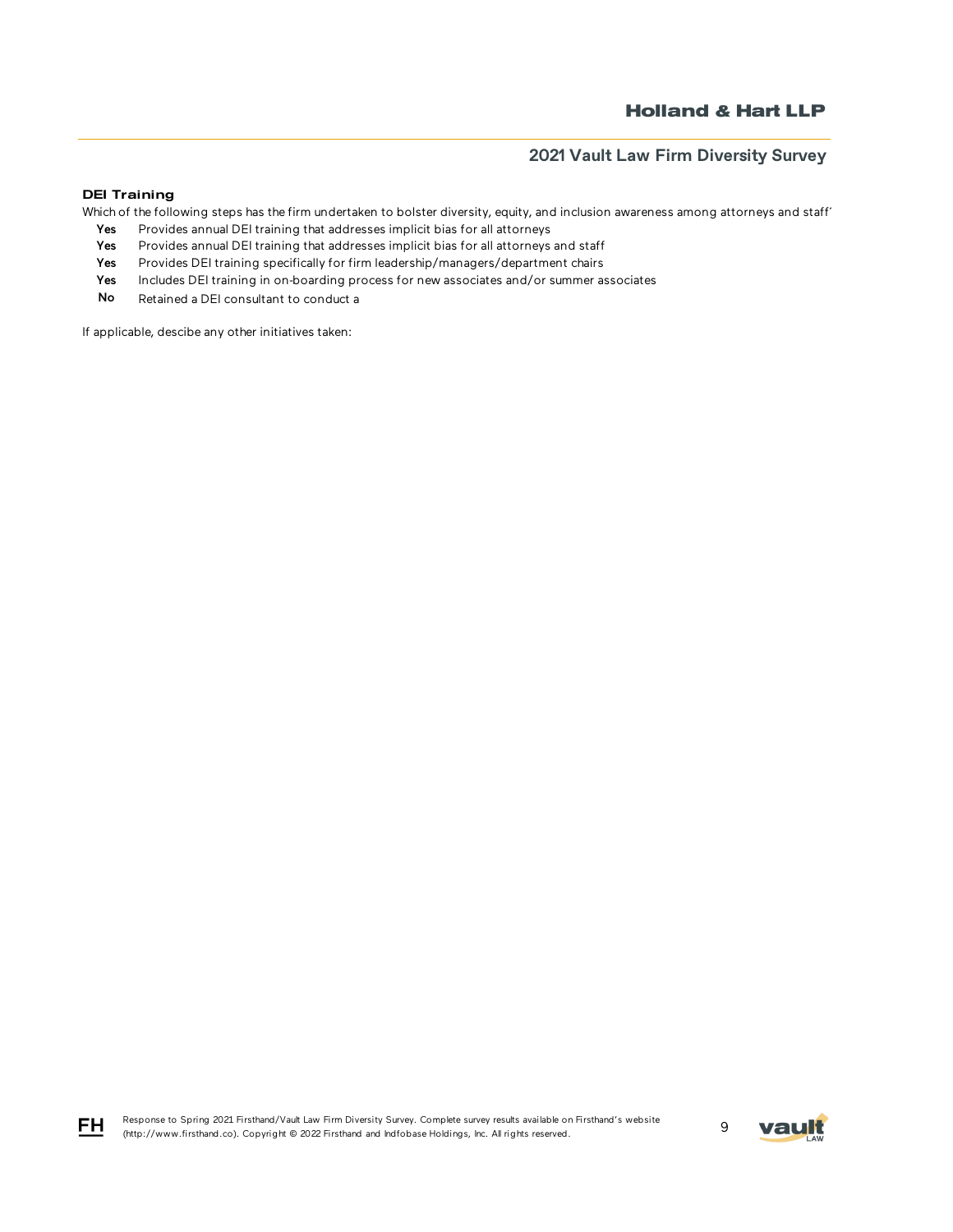#### DEI Training

FH

Which of the following steps has the firm undertaken to bolster diversity, equity, and inclusion awareness among attorneys and staff'

- Yes Provides annual DEI training that addresses implicit bias for all attorneys
- Yes Provides annual DEI training that addresses implicit bias for all attorneys and staff
- Yes Provides DEI training specifically for firm leadership/managers/department chairs
- Yes Includes DEI training in on-boarding process for new associates and/or summer associates
- No Retained a DEI consultant to conduct a

If applicable, descibe any other initiatives taken:

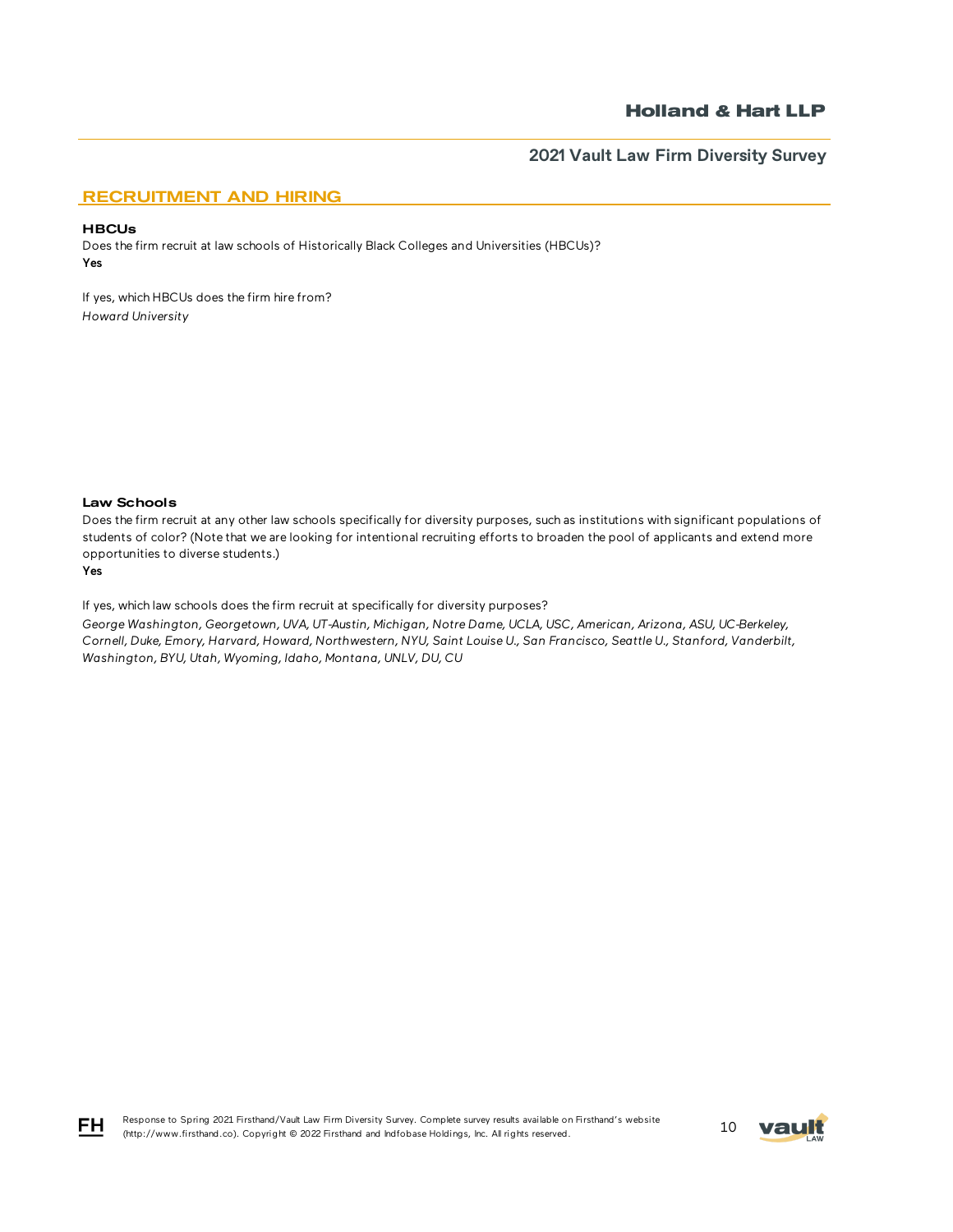## RECRUITMENT AND HIRING

#### **HBCUs**

Does the firm recruit at law schools of Historically Black Colleges and Universities (HBCUs)? Yes

If yes, which HBCUs does the firm hire from? *Howard University*

#### Law Schools

Does the firm recruit at any other law schools specifically for diversity purposes, such as institutions with significant populations of students of color? (Note that we are looking for intentional recruiting efforts to broaden the pool of applicants and extend more opportunities to diverse students.)

#### Yes

If yes, which law schools does the firm recruit at specifically for diversity purposes? *George Washington, Georgetown, UVA, UT-Austin, Michigan, Notre Dame, UCLA, USC, American, Arizona, ASU, UC-Berkeley,* 

*Cornell, Duke, Emory, Harvard, Howard, Northwestern, NYU, Saint Louise U., San Francisco, Seattle U., Stanford, Vanderbilt, Washington, BYU, Utah, Wyoming, Idaho, Montana, UNLV, DU, CU* 



FH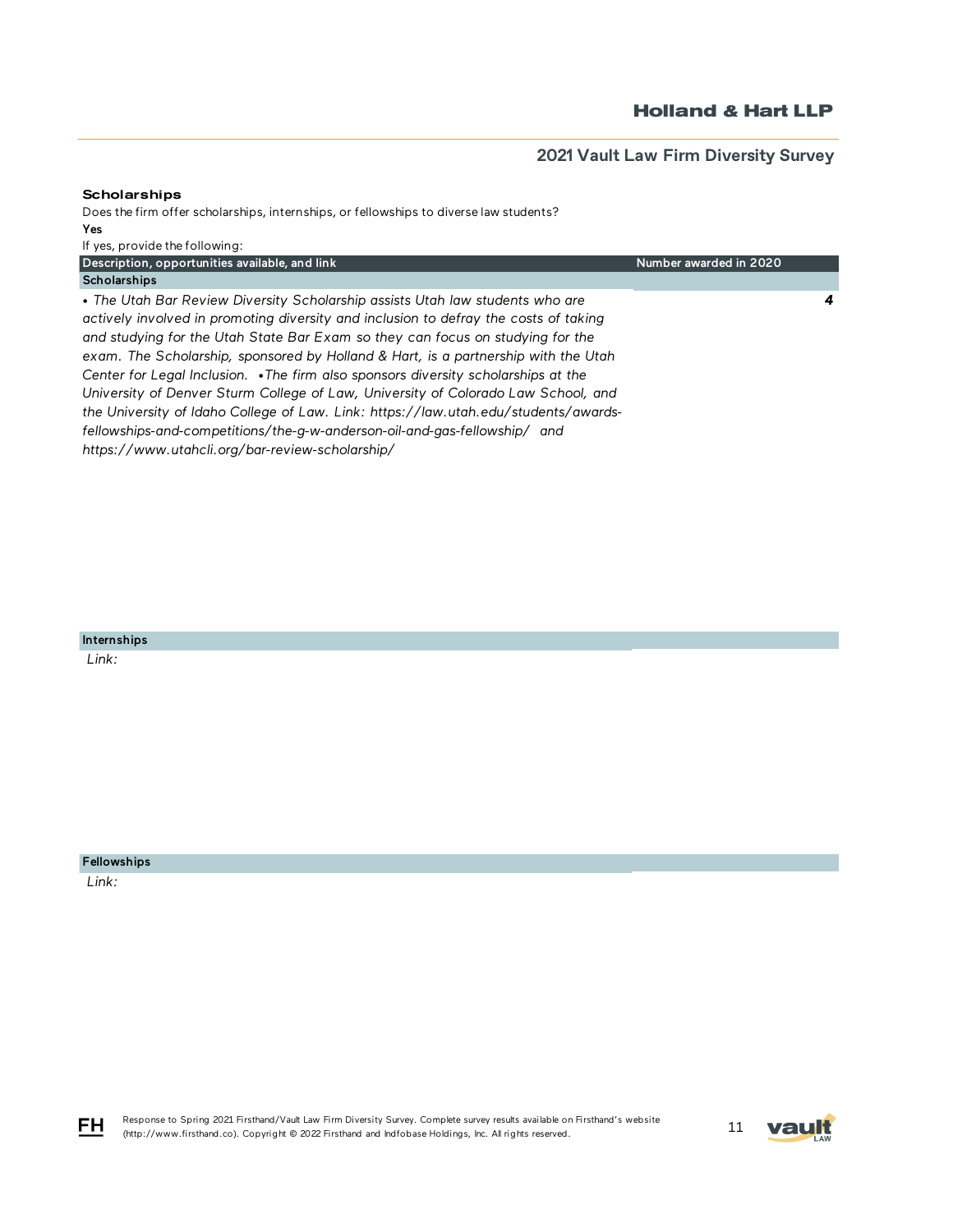## **Scholarships**

Does the firm offer scholarships, internships, or fellowships to diverse law students? Yes If yes, provide the following:

| Description, opportunities available, and link                                                                                                                                                                                                                                                                                                                                                                                                                                                                                                                                                                                                                                                                                                  | Number awarded in 2020 |
|-------------------------------------------------------------------------------------------------------------------------------------------------------------------------------------------------------------------------------------------------------------------------------------------------------------------------------------------------------------------------------------------------------------------------------------------------------------------------------------------------------------------------------------------------------------------------------------------------------------------------------------------------------------------------------------------------------------------------------------------------|------------------------|
| <b>Scholarships</b>                                                                                                                                                                                                                                                                                                                                                                                                                                                                                                                                                                                                                                                                                                                             |                        |
| • The Utah Bar Review Diversity Scholarship assists Utah law students who are<br>actively involved in promoting diversity and inclusion to defray the costs of taking<br>and studying for the Utah State Bar Exam so they can focus on studying for the<br>exam. The Scholarship, sponsored by Holland & Hart, is a partnership with the Utah<br>Center for Legal Inclusion. • The firm also sponsors diversity scholarships at the<br>University of Denver Sturm College of Law, University of Colorado Law School, and<br>the University of Idaho College of Law. Link: https://law.utah.edu/students/awards-<br>fellowships-and-competitions/the-q-w-anderson-oil-and-gas-fellowship/ and<br>https://www.utahcli.org/bar-review-scholarship/ |                        |

# Internships

 *Link:* 

## Fellowships

 *Link:* 



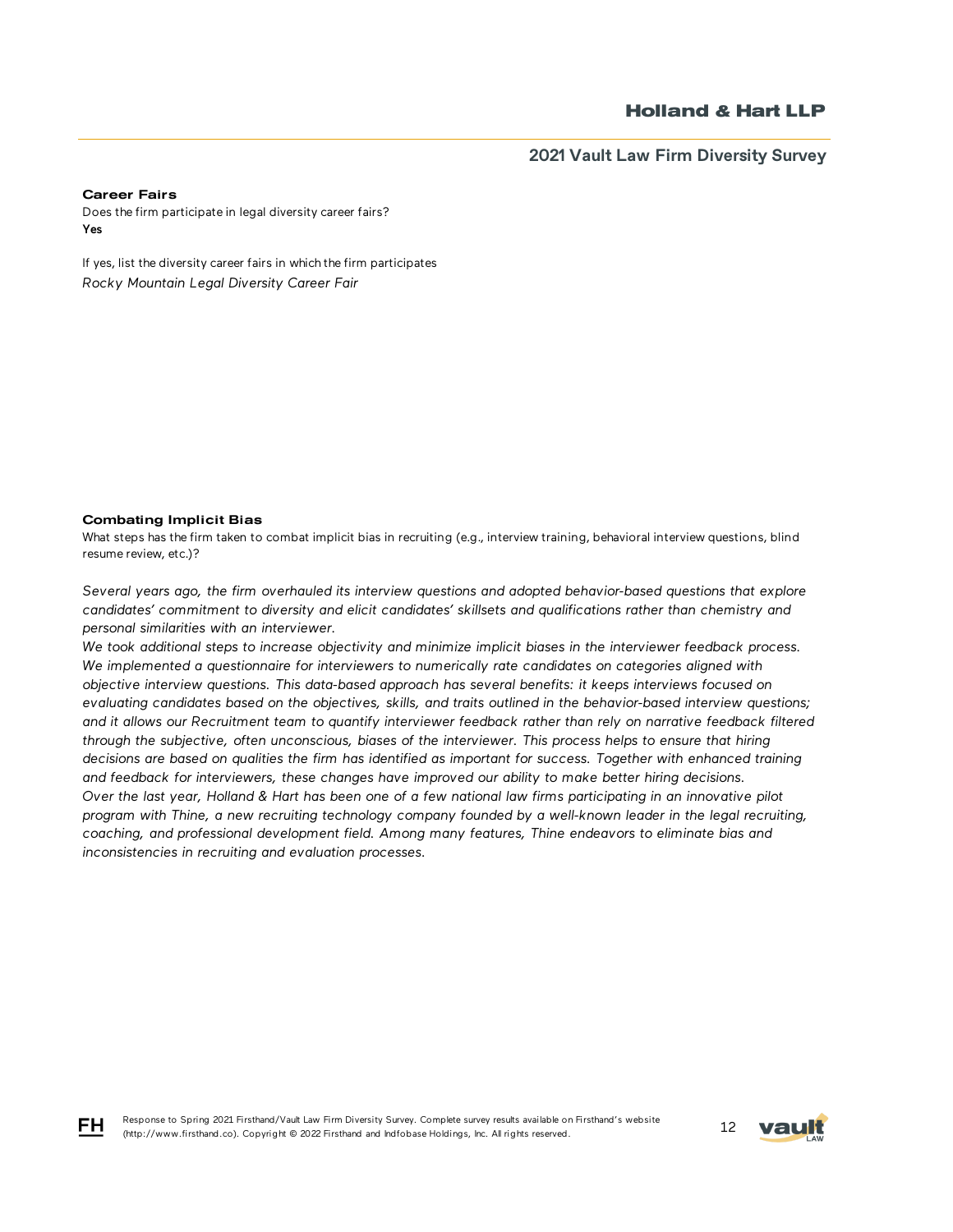#### Career Fairs

Does the firm participate in legal diversity career fairs? Yes

If yes, list the diversity career fairs in which the firm participates *Rocky Mountain Legal Diversity Career Fair*

#### Combating Implicit Bias

What steps has the firm taken to combat implicit bias in recruiting (e.g., interview training, behavioral interview questions, blind resume review, etc.)?

*Several years ago, the firm overhauled its interview questions and adopted behavior-based questions that explore*  candidates' commitment to diversity and elicit candidates' skillsets and qualifications rather than chemistry and *personal similarities with an interviewer.* 

*We took additional steps to increase objectivity and minimize implicit biases in the interviewer feedback process. We implemented a questionnaire for interviewers to numerically rate candidates on categories aligned with objective interview questions. This data-based approach has several benefits: it keeps interviews focused on evaluating candidates based on the objectives, skills, and traits outlined in the behavior-based interview questions; and it allows our Recruitment team to quantify interviewer feedback rather than rely on narrative feedback filtered through the subjective, often unconscious, biases of the interviewer. This process helps to ensure that hiring*  decisions are based on qualities the firm has identified as important for success. Together with enhanced training *and feedback for interviewers, these changes have improved our ability to make better hiring decisions. Over the last year, Holland & Hart has been one of a few national law firms participating in an innovative pilot program with Thine, a new recruiting technology company founded by a well-known leader in the legal recruiting, coaching, and professional development field. Among many features, Thine endeavors to eliminate bias and inconsistencies in recruiting and evaluation processes.*



FH.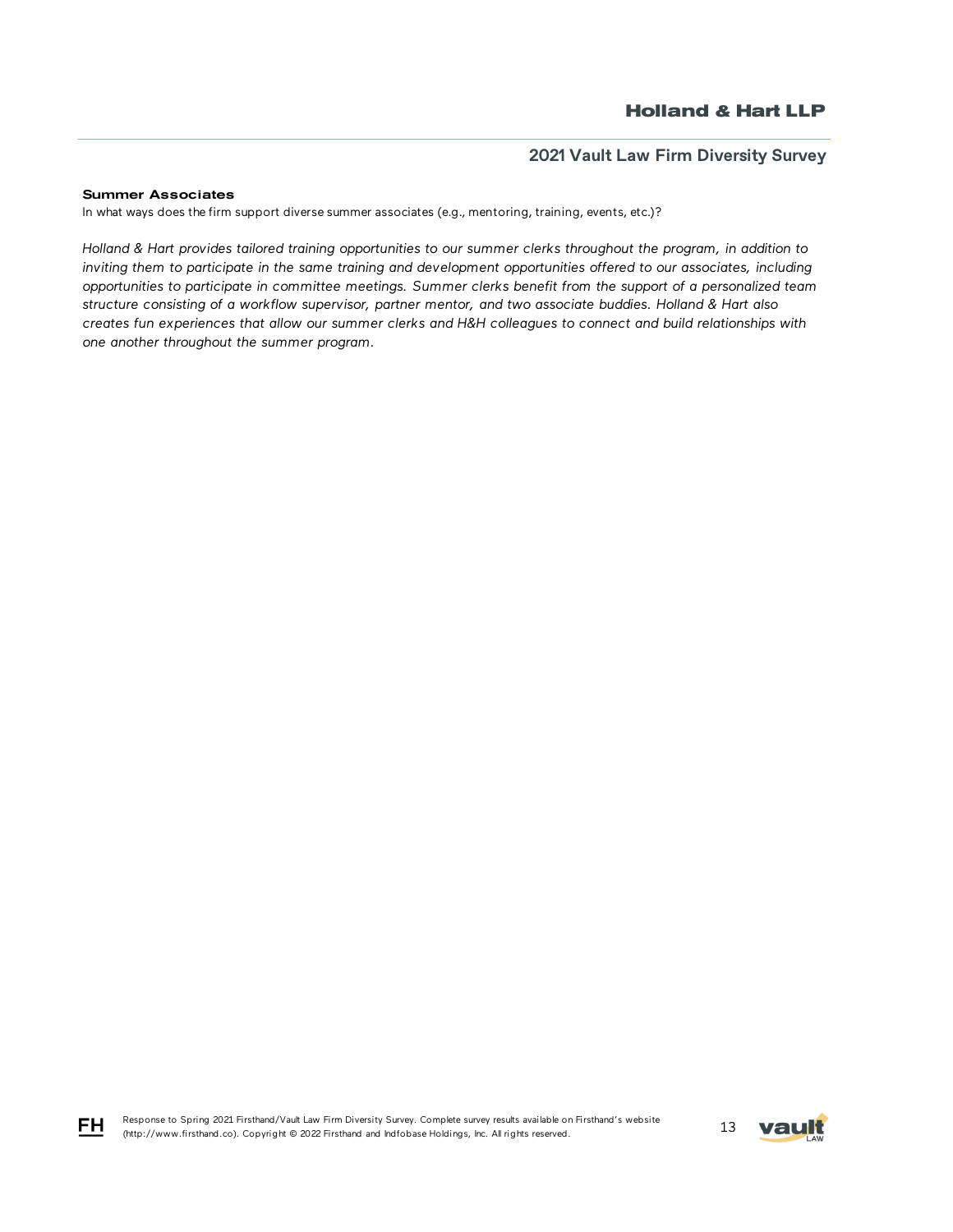#### Summer Associates

In what ways does the firm support diverse summer associates (e.g., mentoring, training, events, etc.)?

*Holland & Hart provides tailored training opportunities to our summer clerks throughout the program, in addition to inviting them to participate in the same training and development opportunities offered to our associates, including opportunities to participate in committee meetings. Summer clerks benefit from the support of a personalized team structure consisting of a workflow supervisor, partner mentor, and two associate buddies. Holland & Hart also creates fun experiences that allow our summer clerks and H&H colleagues to connect and build relationships with one another throughout the summer program.* 



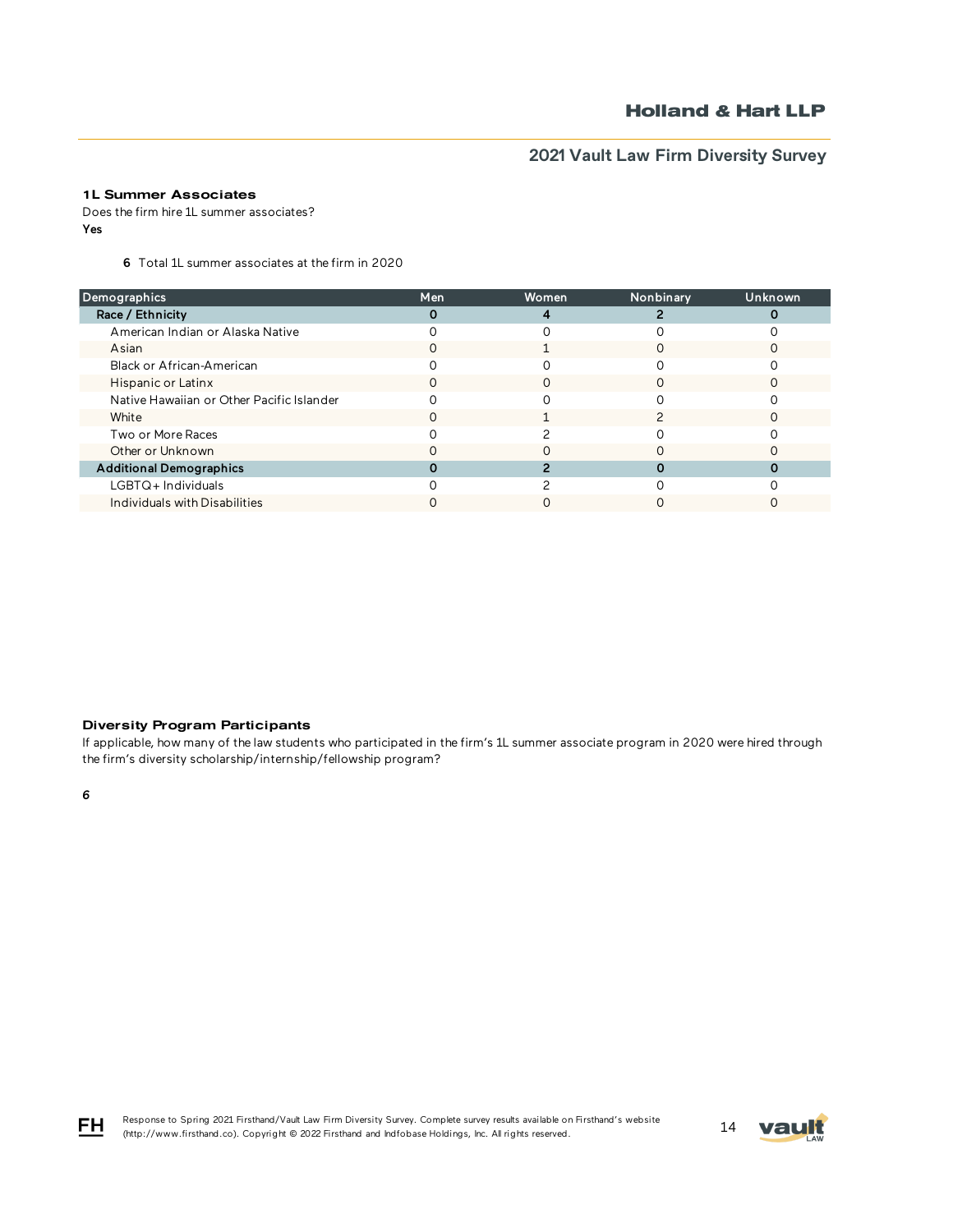## 1L Summer Associates

Does the firm hire 1L summer associates? Yes

6 Total 1L summer associates at the firm in 2020

| Demographics                              | Men | <b>Women</b> | Nonbinary | Unknown |
|-------------------------------------------|-----|--------------|-----------|---------|
| Race / Ethnicity                          |     |              |           |         |
| American Indian or Alaska Native          |     |              |           |         |
| Asian                                     |     |              |           |         |
| Black or African-American                 |     |              |           |         |
| Hispanic or Latinx                        |     | Ω            |           |         |
| Native Hawaiian or Other Pacific Islander |     |              |           |         |
| White                                     |     |              |           |         |
| Two or More Races                         |     |              |           |         |
| Other or Unknown                          |     |              |           |         |
| <b>Additional Demographics</b>            |     |              |           |         |
| $LGBTQ+$ Individuals                      |     |              |           |         |
| Individuals with Disabilities             |     | 0            |           |         |
|                                           |     |              |           |         |

#### Diversity Program Participants

If applicable, how many of the law students who participated in the firm's 1L summer associate program in 2020 were hired through the firm's diversity scholarship/internship/fellowship program?

*6*



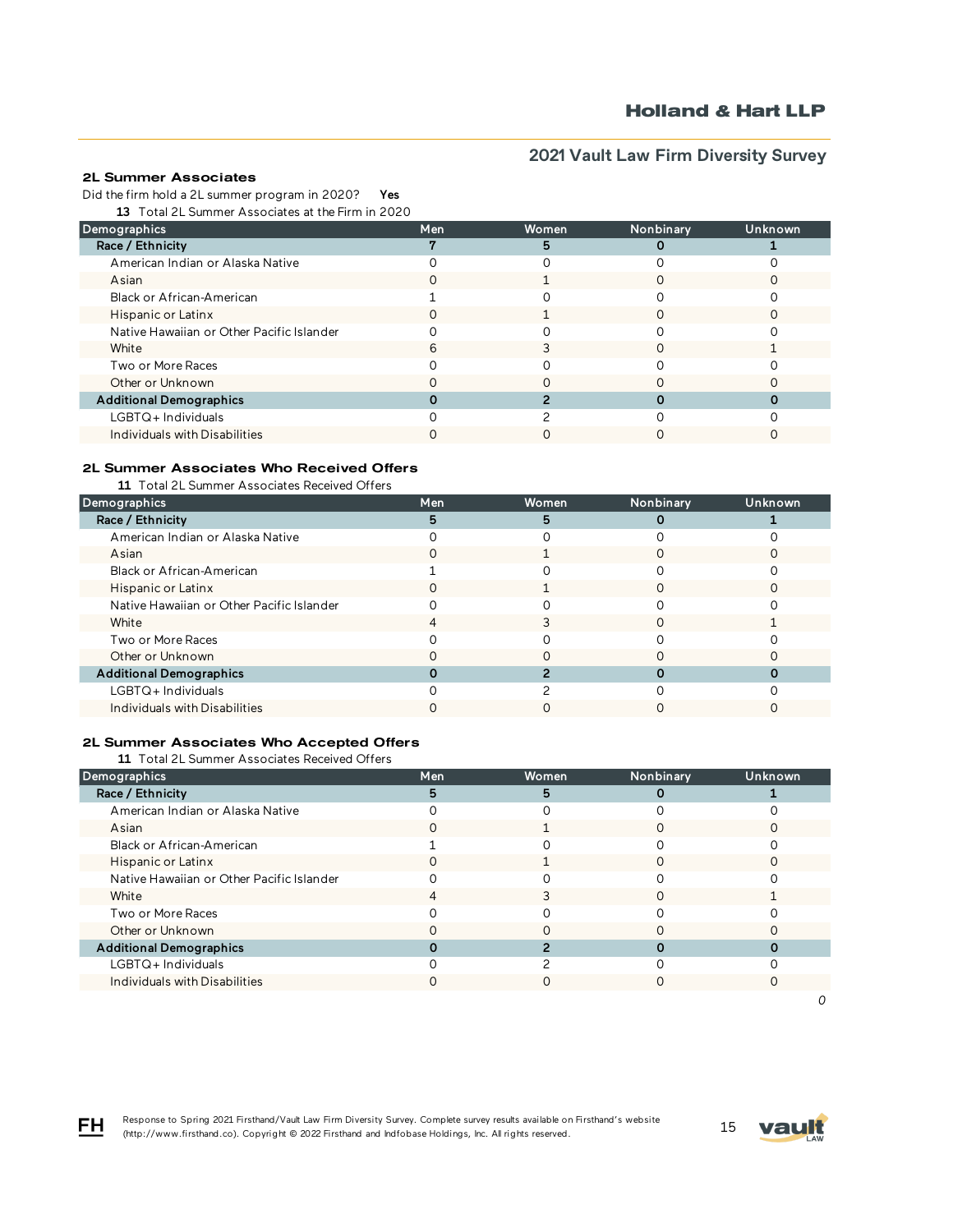# **2021 Vault Law Firm Diversity Survey**

### 2L Summer Associates

Did the firm hold a 2L summer program in 2020? Yes

13 Total 2L Summer Associates at the Firm in 2020

| Demographics                              | Men | <b>Women</b> | Nonbinary | Unknown |
|-------------------------------------------|-----|--------------|-----------|---------|
| Race / Ethnicity                          |     | 5            |           |         |
| American Indian or Alaska Native          |     |              |           |         |
| Asian                                     |     |              |           |         |
| Black or African-American                 |     |              |           |         |
| Hispanic or Latinx                        |     |              |           |         |
| Native Hawaiian or Other Pacific Islander |     |              |           |         |
| White                                     | 6   |              |           |         |
| Two or More Races                         |     |              |           |         |
| Other or Unknown                          |     |              |           |         |
| <b>Additional Demographics</b>            |     |              |           |         |
| $LGBTQ+$ Individuals                      |     |              |           |         |
| Individuals with Disabilities             |     |              |           |         |

## 2L Summer Associates Who Received Offers

11 Total 2L Summer Associates Received Offers

| Demographics                              | Men | Women | Nonbinary | Unknown |
|-------------------------------------------|-----|-------|-----------|---------|
| Race / Ethnicity                          |     | 5     |           |         |
| American Indian or Alaska Native          |     |       |           |         |
| Asian                                     |     |       |           |         |
| Black or African-American                 |     |       |           |         |
| Hispanic or Latinx                        |     |       |           |         |
| Native Hawaiian or Other Pacific Islander |     |       |           |         |
| White                                     |     |       |           |         |
| Two or More Races                         |     |       |           |         |
| Other or Unknown                          |     |       |           |         |
| <b>Additional Demographics</b>            |     |       |           |         |
| LGBTQ+Individuals                         |     |       |           |         |
| Individuals with Disabilities             |     |       |           |         |

#### 2L Summer Associates Who Accepted Offers

11 Total 2L Summer Associates Received Offers

| Demographics                              | Men | Women | Nonbinary | Unknown |
|-------------------------------------------|-----|-------|-----------|---------|
| Race / Ethnicity                          |     | 5     |           |         |
| American Indian or Alaska Native          |     |       |           |         |
| Asian                                     |     |       |           |         |
| Black or African-American                 |     |       |           |         |
| Hispanic or Latinx                        |     |       |           |         |
| Native Hawaiian or Other Pacific Islander |     |       |           |         |
| White                                     |     |       |           |         |
| Two or More Races                         |     |       |           |         |
| Other or Unknown                          |     |       |           |         |
| <b>Additional Demographics</b>            |     |       |           |         |
| $LGBTQ+$ Individuals                      |     |       |           |         |
| Individuals with Disabilities             |     |       |           |         |

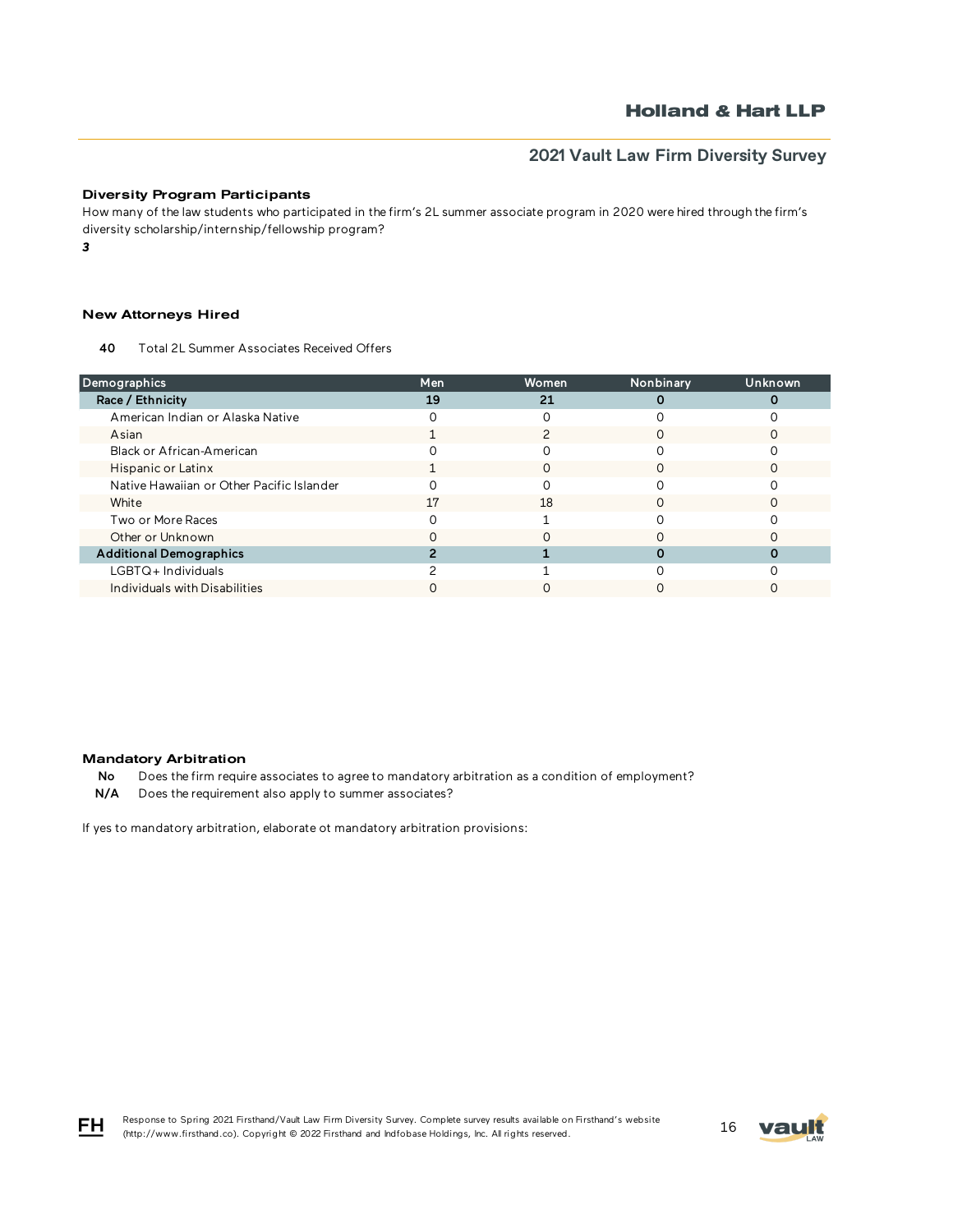#### Diversity Program Participants

How many of the law students who participated in the firm's 2L summer associate program in 2020 were hired through the firm's diversity scholarship/internship/fellowship program?

*3*

#### New Attorneys Hired

40 Total 2L Summer Associates Received Offers

| Demographics                              | Men | Women | Nonbinary | Unknown |
|-------------------------------------------|-----|-------|-----------|---------|
| Race / Ethnicity                          | 19  | 21    |           |         |
| American Indian or Alaska Native          |     |       |           |         |
| Asian                                     |     |       |           |         |
| Black or African-American                 |     |       |           |         |
| Hispanic or Latinx                        |     | O     |           |         |
| Native Hawaiian or Other Pacific Islander |     |       |           |         |
| White                                     | 17  | 18    |           |         |
| Two or More Races                         |     |       |           |         |
| Other or Unknown                          |     |       |           |         |
| <b>Additional Demographics</b>            |     |       |           |         |
| LGBTQ+Individuals                         |     |       |           |         |
| Individuals with Disabilities             |     |       |           |         |

#### Mandatory Arbitration

No Does the firm require associates to agree to mandatory arbitration as a condition of employment?

N/A Does the requirement also apply to summer associates?

If yes to mandatory arbitration, elaborate ot mandatory arbitration provisions:



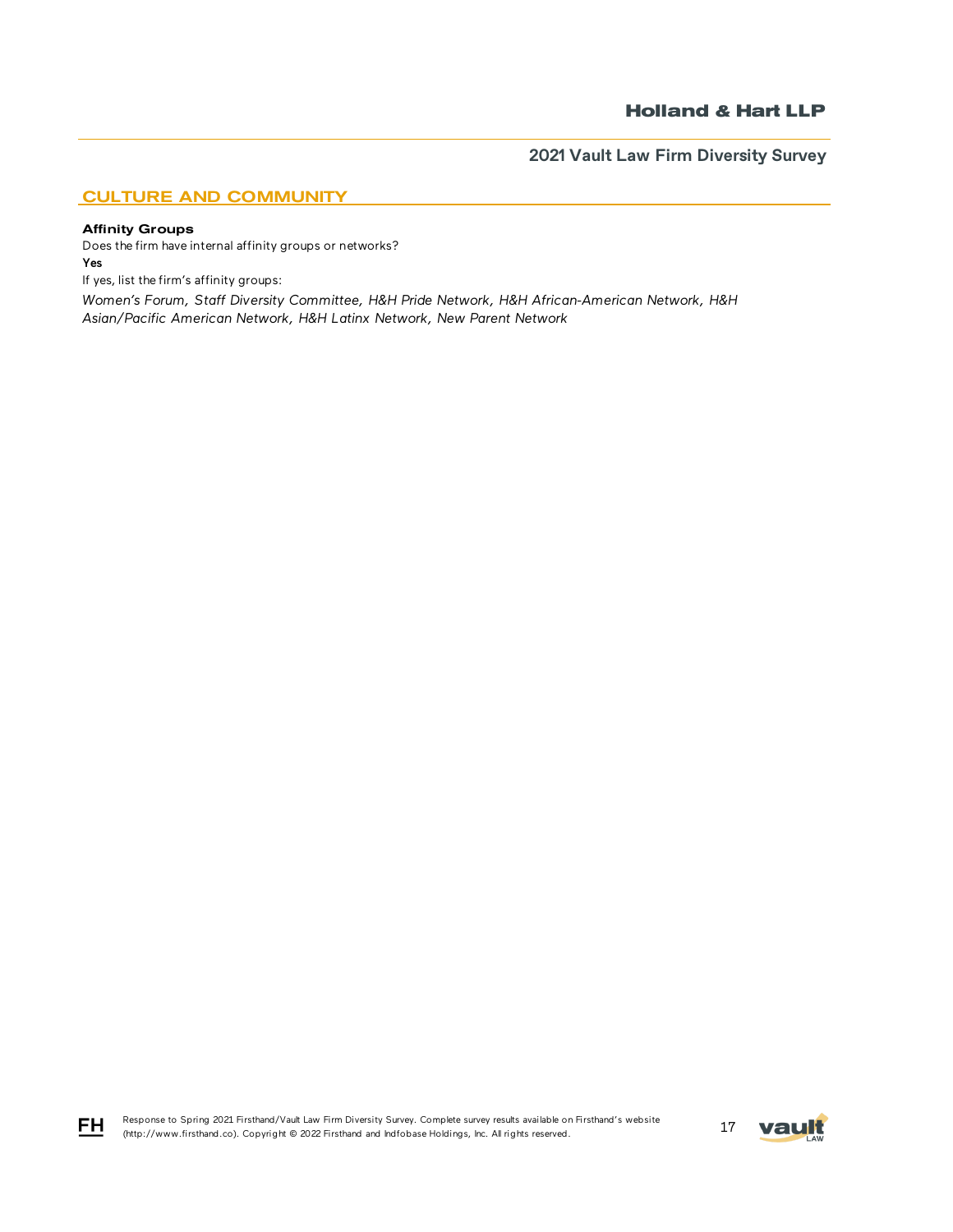## CULTURE AND COMMUNITY

#### Affinity Groups

Does the firm have internal affinity groups or networks? Yes

If yes, list the firm's affinity groups:

*Women's Forum, Staff Diversity Committee, H&H Pride Network, H&H African-American Network, H&H Asian/Pacific American Network, H&H Latinx Network, New Parent Network*

Response to Spring 2021 Firsthand/Vault Law Firm Diversity Survey. Complete survey results available on Firsthand's website Response to Spring 2021 Firsthand/vault Law Firm Diversity Survey. Complete survey results available on Firsthand's website<br>(http://www.firsthand.co). Copyright © 2022 Firsthand and Indfobase Holdings, Inc. All rights rese



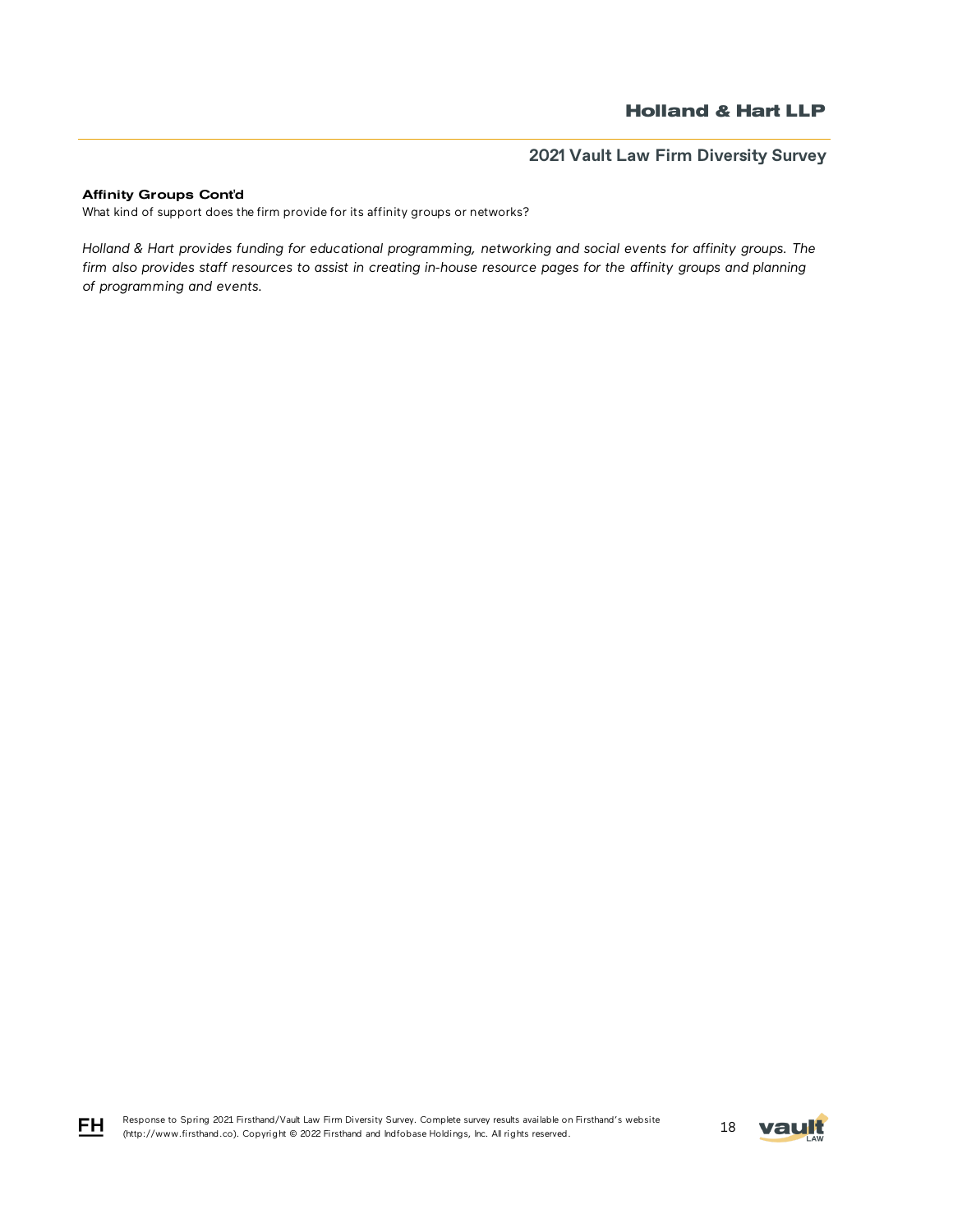#### Affinity Groups Cont'd

FH

What kind of support does the firm provide for its affinity groups or networks?

*Holland & Hart provides funding for educational programming, networking and social events for affinity groups. The firm also provides staff resources to assist in creating in-house resource pages for the affinity groups and planning of programming and events.* 

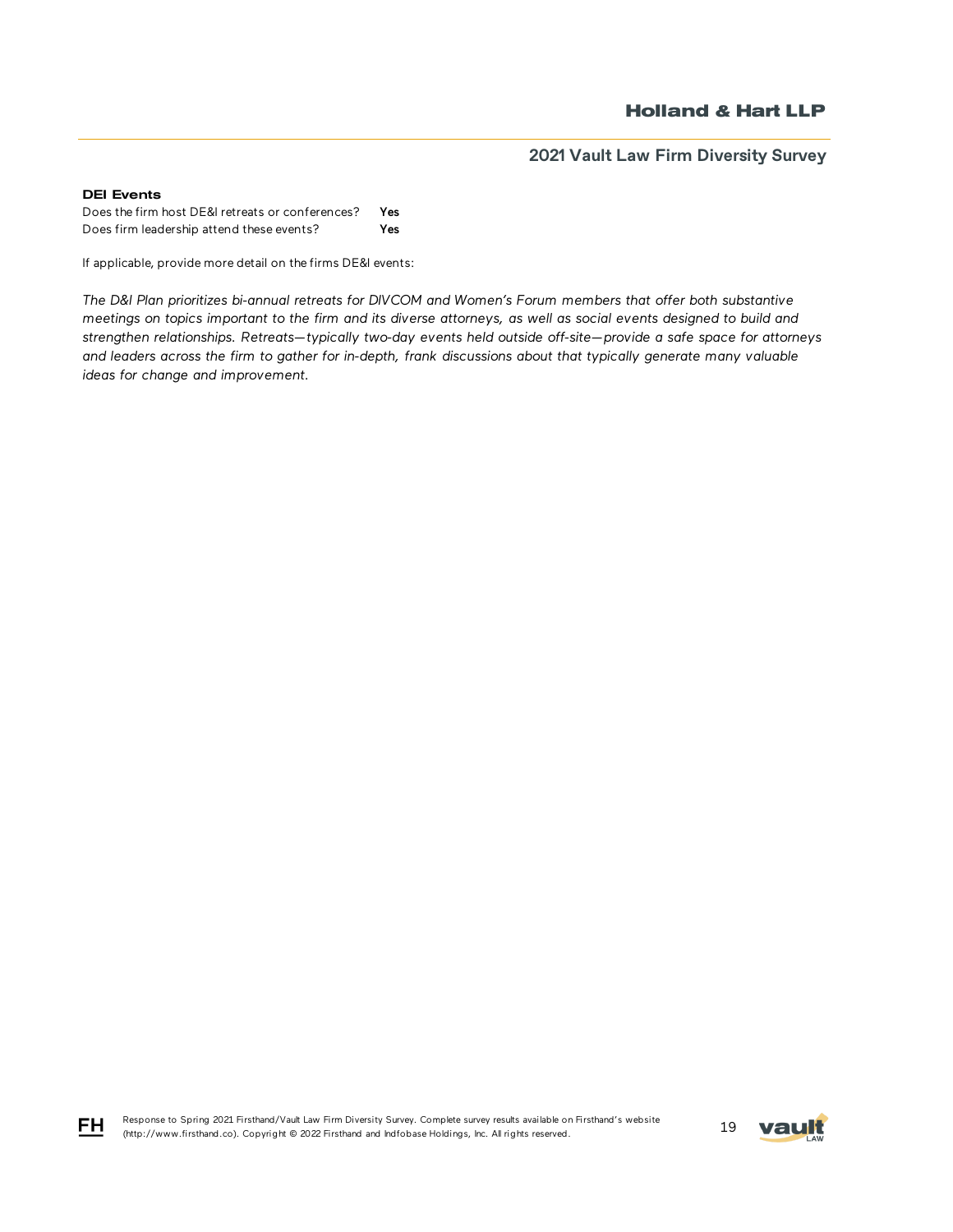#### DEI Events

Does the firm host DE&I retreats or conferences? Yes Does firm leadership attend these events? Yes

If applicable, provide more detail on the firms DE&I events:

*The D&I Plan prioritizes bi-annual retreats for DIVCOM and Women's Forum members that offer both substantive meetings on topics important to the firm and its diverse attorneys, as well as social events designed to build and strengthen relationships. Retreats—typically two-day events held outside off-site—provide a safe space for attorneys and leaders across the firm to gather for in-depth, frank discussions about that typically generate many valuable ideas for change and improvement.*



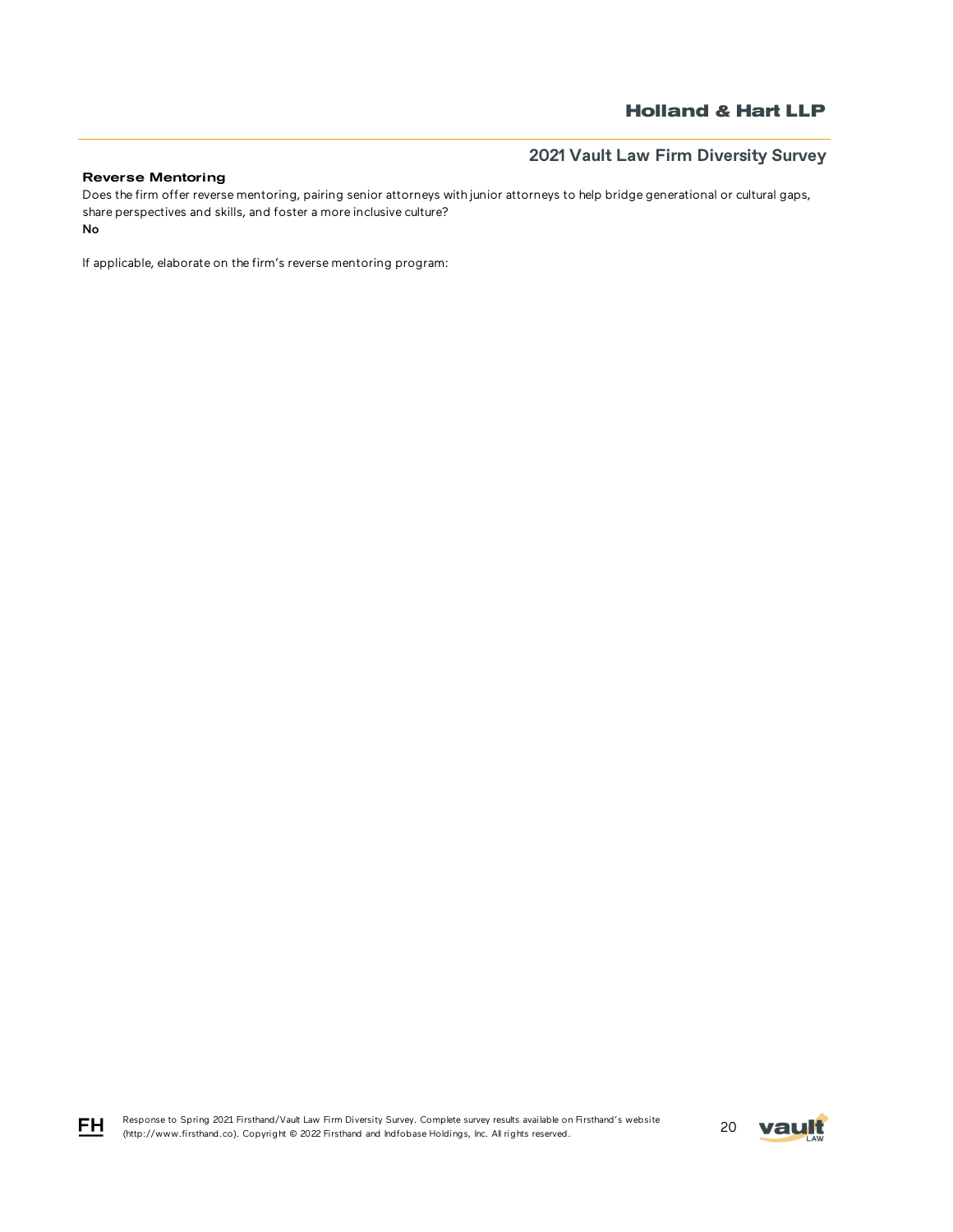# **2021 Vault Law Firm Diversity Survey**

#### Reverse Mentoring

No Does the firm offer reverse mentoring, pairing senior attorneys with junior attorneys to help bridge generational or cultural gaps, share perspectives and skills, and foster a more inclusive culture?

If applicable, elaborate on the firm's reverse mentoring program:

Response to Spring 2021 Firsthand/Vault Law Firm Diversity Survey. Complete survey results available on Firsthand's website Response to Spring 2021 Firstnand/vault Law Firm Diversity Survey. Complete survey results available on Firstnand's website<br>(http://www.firsthand.co). Copyright © 2022 Firsthand and Indfobase Holdings, Inc. All rights rese



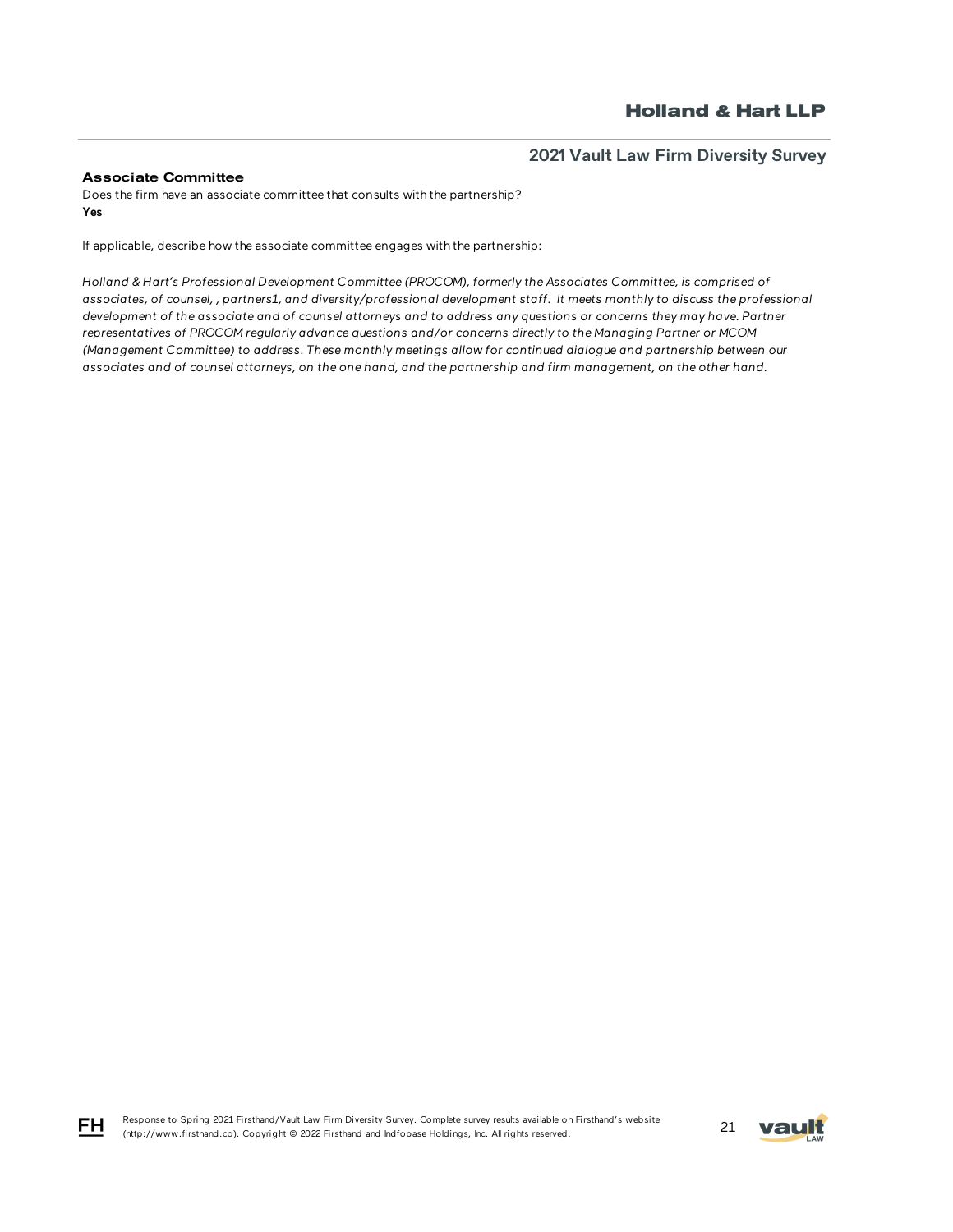#### Associate Committee

FH

Does the firm have an associate committee that consults with the partnership? Yes

If applicable, describe how the associate committee engages with the partnership:

*Holland & Hart's Professional Development Committee (PROCOM), formerly the Associates Committee, is comprised of*  associates, of counsel, , partners1, and diversity/professional development staff. It meets monthly to discuss the professional *development of the associate and of counsel attorneys and to address any questions or concerns they may have. Partner representatives of PROCOM regularly advance questions and/or concerns directly to the Managing Partner or MCOM (Management Committee) to address. These monthly meetings allow for continued dialogue and partnership between our associates and of counsel attorneys, on the one hand, and the partnership and firm management, on the other hand.*

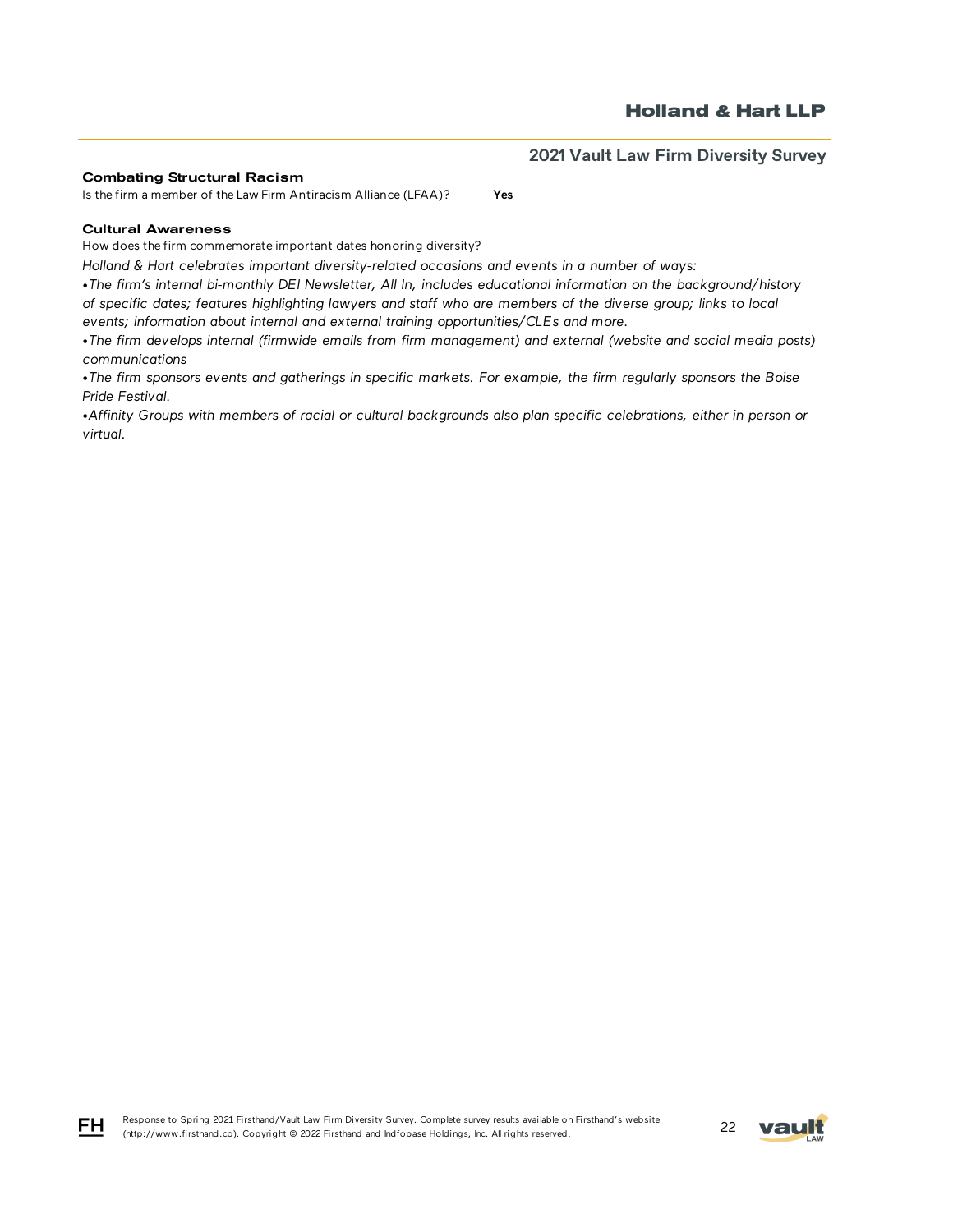## Combating Structural Racism

Is the firm a member of the Law Firm Antiracism Alliance (LFAA)? Yes

#### Cultural Awareness

How does the firm commemorate important dates honoring diversity?

*Holland & Hart celebrates important diversity-related occasions and events in a number of ways:*

*•The firm's internal bi-monthly DEI Newsletter, All In, includes educational information on the background/history of specific dates; features highlighting lawyers and staff who are members of the diverse group; links to local events; information about internal and external training opportunities/CLEs and more.*

*•The firm develops internal (firmwide emails from firm management) and external (website and social media posts) communications* 

*•The firm sponsors events and gatherings in specific markets. For example, the firm regularly sponsors the Boise Pride Festival.*

*•Affinity Groups with members of racial or cultural backgrounds also plan specific celebrations, either in person or virtual.*

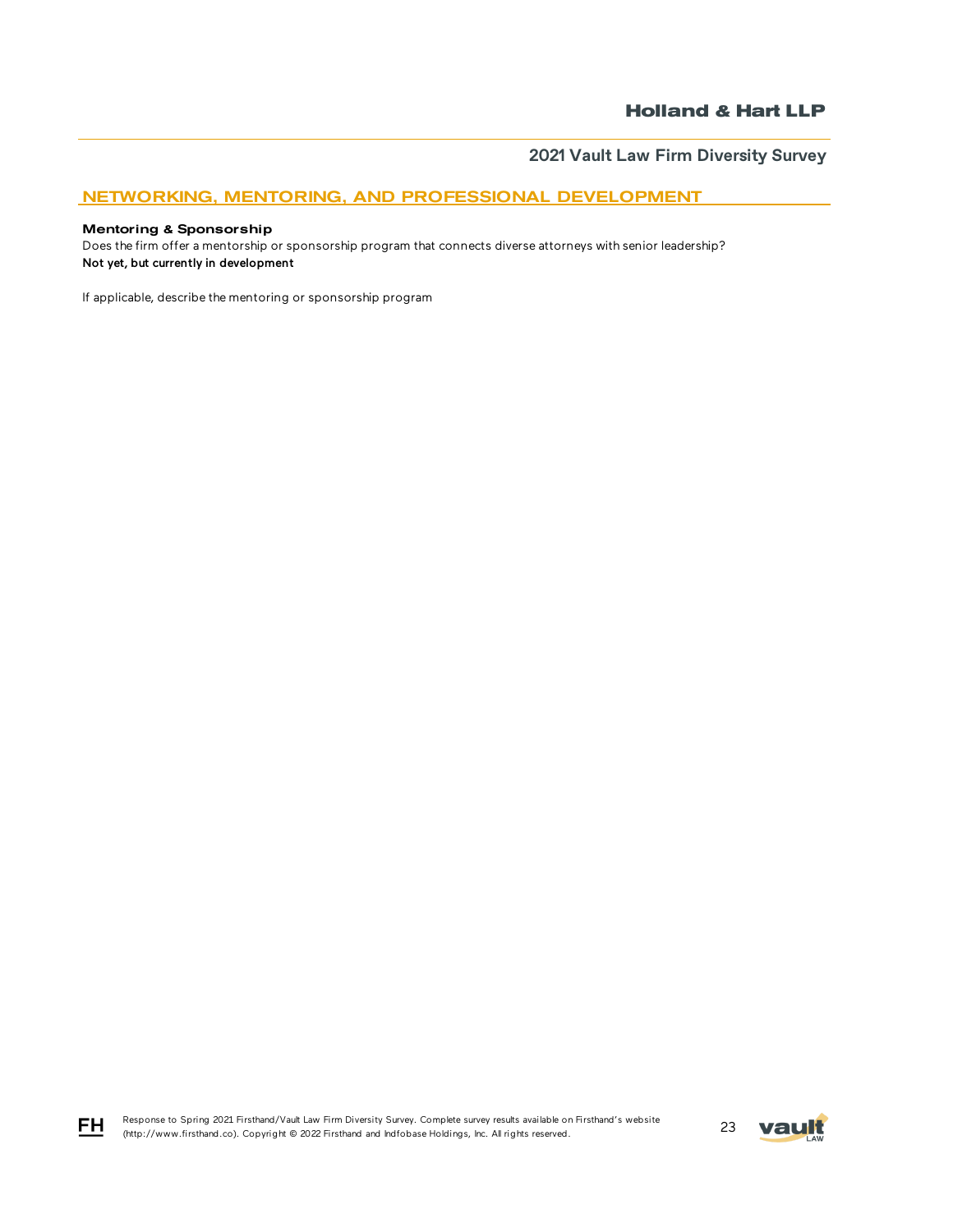## NETWORKING, MENTORING, AND PROFESSIONAL DEVELOPMENT

#### Mentoring & Sponsorship

Does the firm offer a mentorship or sponsorship program that connects diverse attorneys with senior leadership? Not yet, but currently in development

If applicable, describe the mentoring or sponsorship program



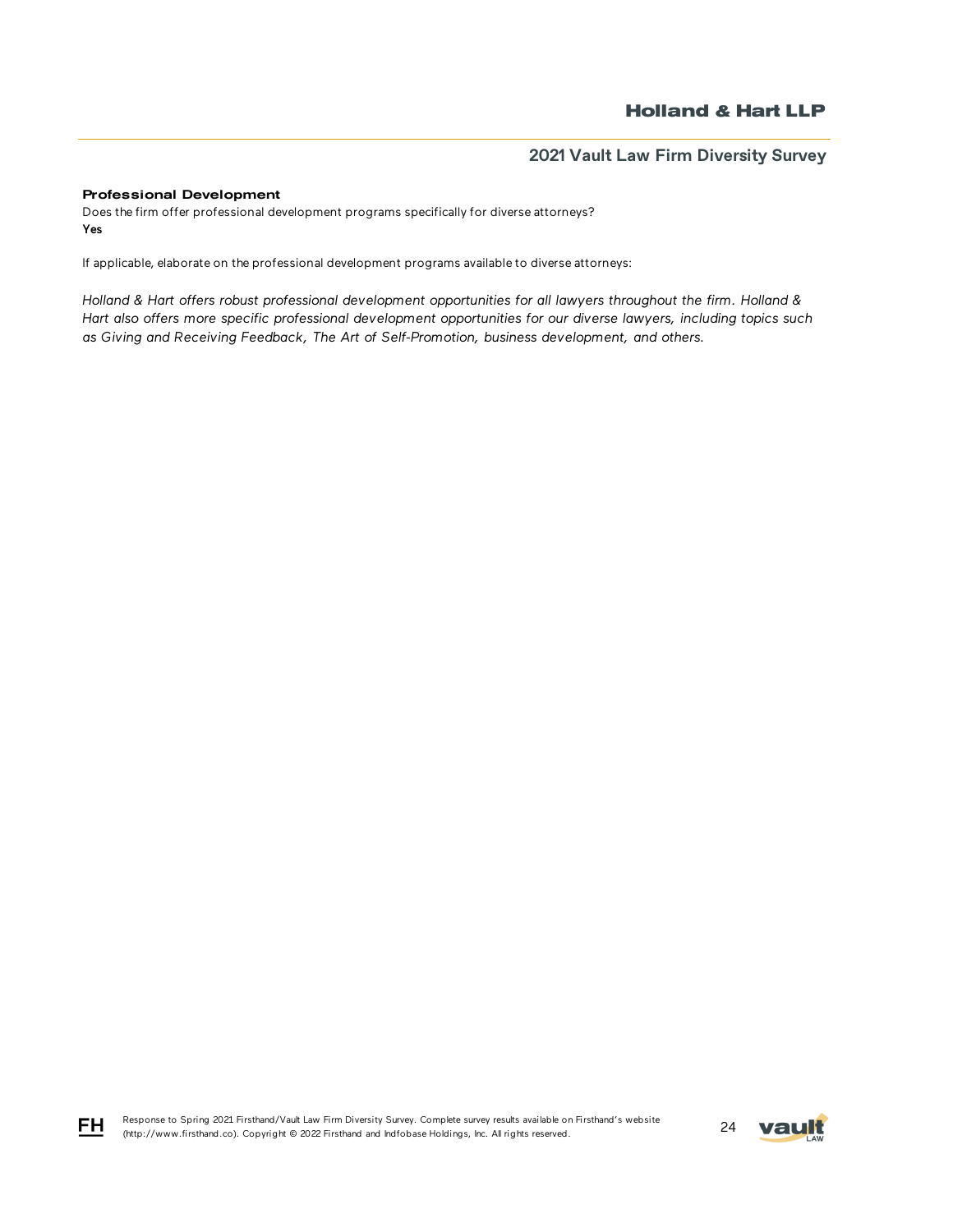#### Professional Development

Does the firm offer professional development programs specifically for diverse attorneys? Yes

If applicable, elaborate on the professional development programs available to diverse attorneys:

*Holland & Hart offers robust professional development opportunities for all lawyers throughout the firm. Holland & Hart also offers more specific professional development opportunities for our diverse lawyers, including topics such as Giving and Receiving Feedback, The Art of Self-Promotion, business development, and others.* 



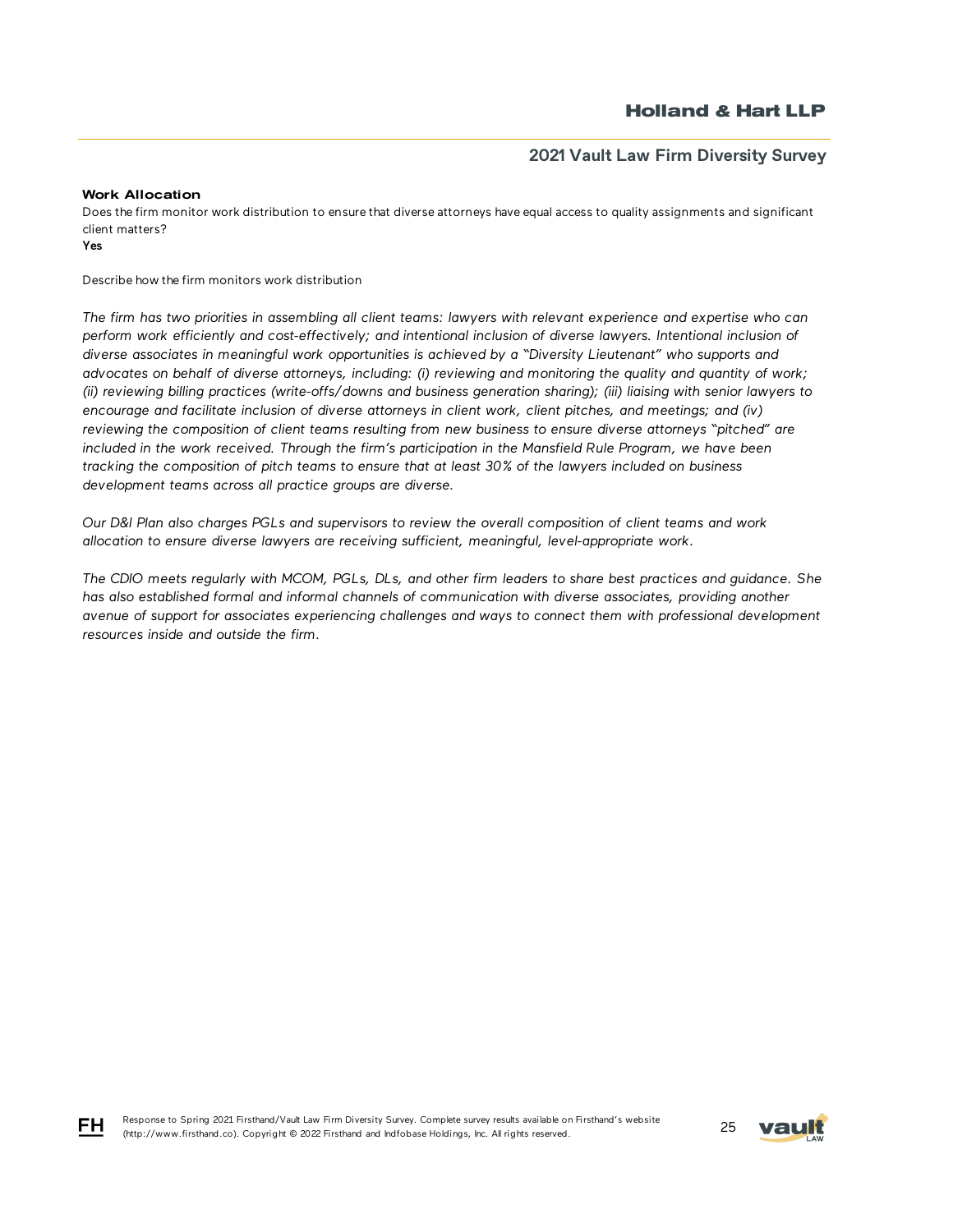#### Work Allocation

Does the firm monitor work distribution to ensure that diverse attorneys have equal access to quality assignments and significant client matters?

Yes

Describe how the firm monitors work distribution

*The firm has two priorities in assembling all client teams: lawyers with relevant experience and expertise who can*  perform work efficiently and cost-effectively; and intentional inclusion of diverse lawyers. Intentional inclusion of *diverse associates in meaningful work opportunities is achieved by a "Diversity Lieutenant" who supports and advocates on behalf of diverse attorneys, including: (i) reviewing and monitoring the quality and quantity of work; (ii) reviewing billing practices (write-offs/downs and business generation sharing); (iii) liaising with senior lawyers to*  encourage and facilitate inclusion of diverse attorneys in client work, client pitches, and meetings; and (iv) reviewing the composition of client teams resulting from new business to ensure diverse attorneys "pitched" are *included in the work received. Through the firm's participation in the Mansfield Rule Program, we have been tracking the composition of pitch teams to ensure that at least 30% of the lawyers included on business development teams across all practice groups are diverse.*

*Our D&I Plan also charges PGLs and supervisors to review the overall composition of client teams and work allocation to ensure diverse lawyers are receiving sufficient, meaningful, level-appropriate work.*

*The CDIO meets regularly with MCOM, PGLs, DLs, and other firm leaders to share best practices and guidance. She has also established formal and informal channels of communication with diverse associates, providing another avenue of support for associates experiencing challenges and ways to connect them with professional development resources inside and outside the firm.*



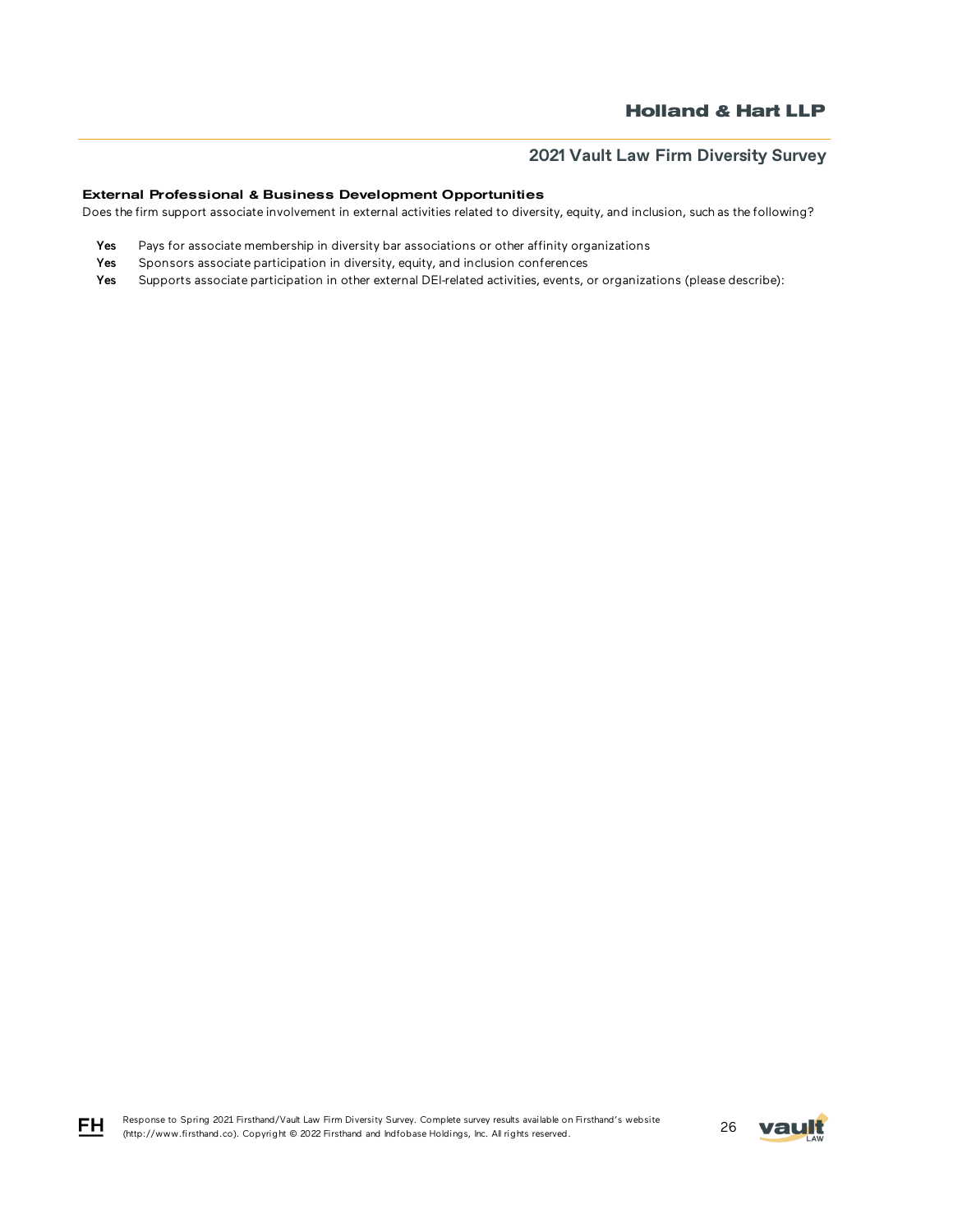#### External Professional & Business Development Opportunities

Does the firm support associate involvement in external activities related to diversity, equity, and inclusion, such as the following?

- Yes Pays for associate membership in diversity bar associations or other affinity organizations
- Yes Sponsors associate participation in diversity, equity, and inclusion conferences
- Yes Supports associate participation in other external DEI-related activities, events, or organizations (please describe):

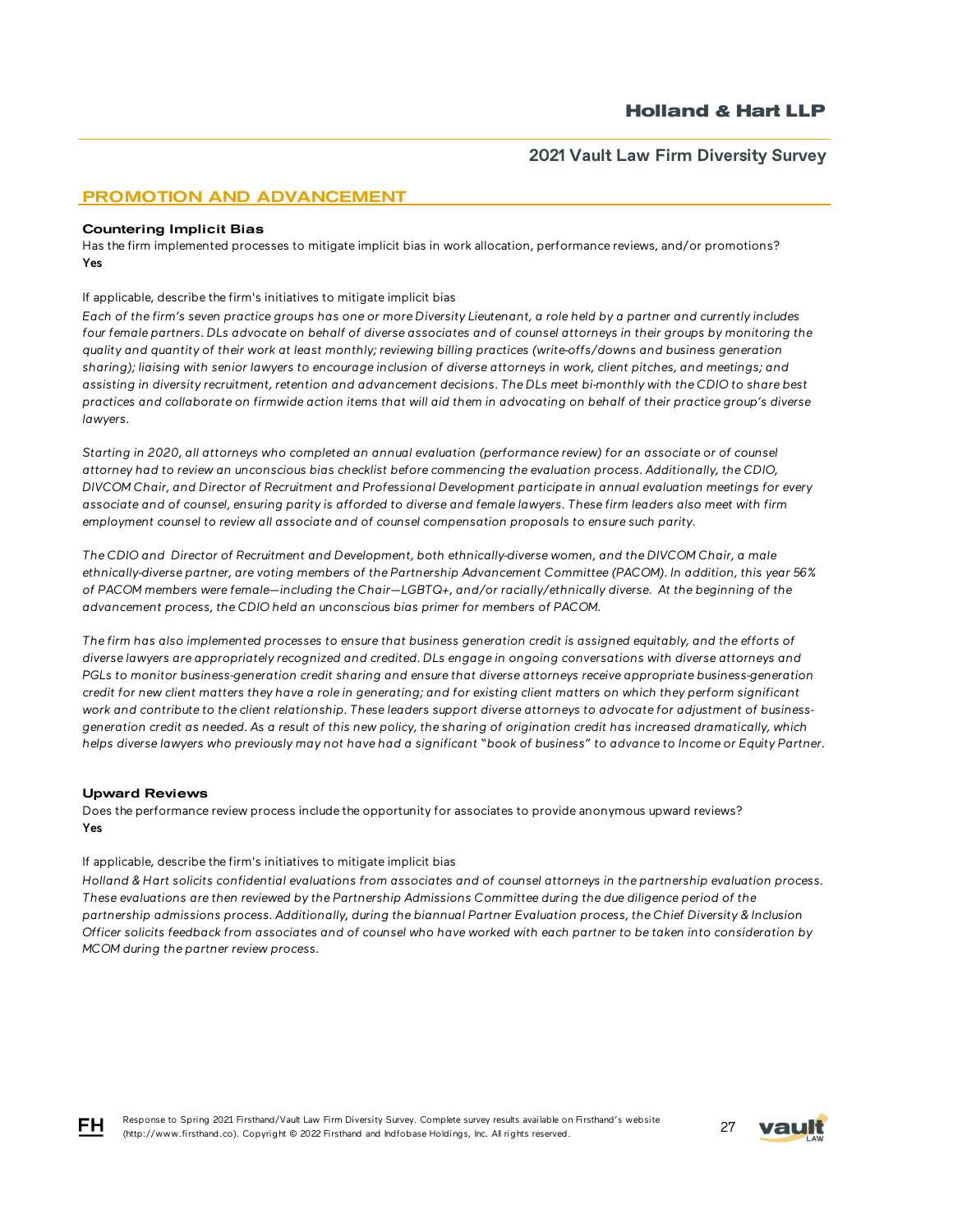### PROMOTION AND ADVANCEMENT

#### Countering Implicit Bias

Has the firm implemented processes to mitigate implicit bias in work allocation, performance reviews, and/or promotions? Yes

If applicable, describe the firm's initiatives to mitigate implicit bias

*Each of the firm's seven practice groups has one or more Diversity Lieutenant, a role held by a partner and currently includes four female partners. DLs advocate on behalf of diverse associates and of counsel attorneys in their groups by monitoring the quality and quantity of their work at least monthly; reviewing billing practices (write-offs/downs and business generation sharing); liaising with senior lawyers to encourage inclusion of diverse attorneys in work, client pitches, and meetings; and assisting in diversity recruitment, retention and advancement decisions. The DLs meet bi-monthly with the CDIO to share best practices and collaborate on firmwide action items that will aid them in advocating on behalf of their practice group's diverse lawyers.*

*Starting in 2020, all attorneys who completed an annual evaluation (performance review) for an associate or of counsel attorney had to review an unconscious bias checklist before commencing the evaluation process. Additionally, the CDIO, DIVCOM Chair, and Director of Recruitment and Professional Development participate in annual evaluation meetings for every associate and of counsel, ensuring parity is afforded to diverse and female lawyers. These firm leaders also meet with firm employment counsel to review all associate and of counsel compensation proposals to ensure such parity.*

*The CDIO and Director of Recruitment and Development, both ethnically-diverse women, and the DIVCOM Chair, a male ethnically-diverse partner, are voting members of the Partnership Advancement Committee (PACOM). In addition, this year 56% of PACOM members were female—including the Chair—LGBTQ+, and/or racially/ethnically diverse. At the beginning of the advancement process, the CDIO held an unconscious bias primer for members of PACOM.* 

*The firm has also implemented processes to ensure that business generation credit is assigned equitably, and the efforts of diverse lawyers are appropriately recognized and credited. DLs engage in ongoing conversations with diverse attorneys and PGLs to monitor business-generation credit sharing and ensure that diverse attorneys receive appropriate business-generation credit for new client matters they have a role in generating; and for existing client matters on which they perform significant work and contribute to the client relationship. These leaders support diverse attorneys to advocate for adjustment of businessgeneration credit as needed. As a result of this new policy, the sharing of origination credit has increased dramatically, which helps diverse lawyers who previously may not have had a significant "book of business" to advance to Income or Equity Partner.*

#### Upward Reviews

FH.

Does the performance review process include the opportunity for associates to provide anonymous upward reviews? Yes

#### If applicable, describe the firm's initiatives to mitigate implicit bias

*Holland & Hart solicits confidential evaluations from associates and of counsel attorneys in the partnership evaluation process. These evaluations are then reviewed by the Partnership Admissions Committee during the due diligence period of the partnership admissions process. Additionally, during the biannual Partner Evaluation process, the Chief Diversity & Inclusion Officer solicits feedback from associates and of counsel who have worked with each partner to be taken into consideration by MCOM during the partner review process.* 

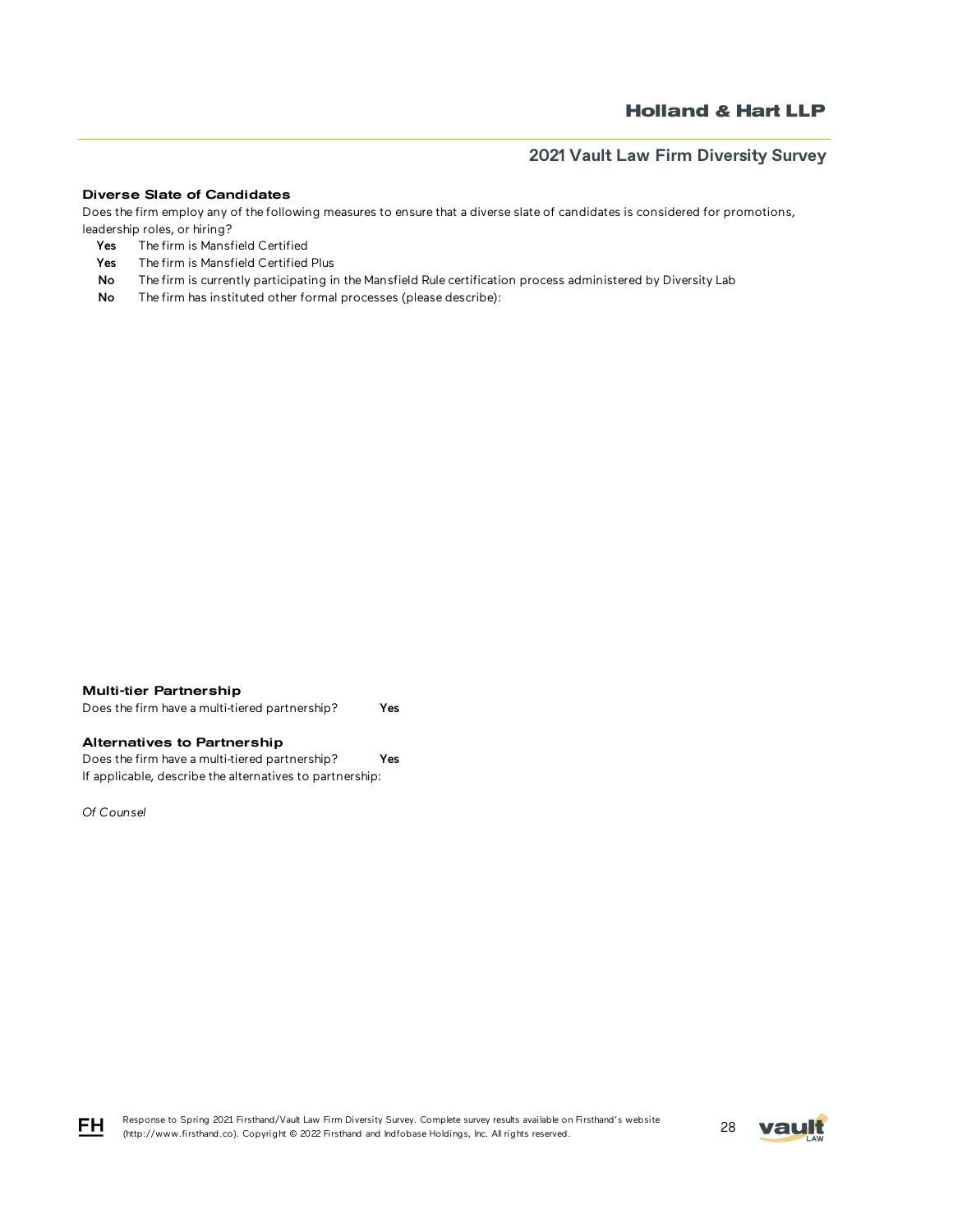#### Diverse Slate of Candidates

Does the firm employ any of the following measures to ensure that a diverse slate of candidates is considered for promotions, leadership roles, or hiring?

- Yes The firm is Mansfield Certified
- Yes The firm is Mansfield Certified Plus
- No The firm is currently participating in the Mansfield Rule certification process administered by Diversity Lab
- No The firm has instituted other formal processes (please describe):

#### Multi-tier Partnership

Does the firm have a multi-tiered partnership? Yes

#### Alternatives to Partnership

Does the firm have a multi-tiered partnership? Yes If applicable, describe the alternatives to partnership:

*Of Counsel*

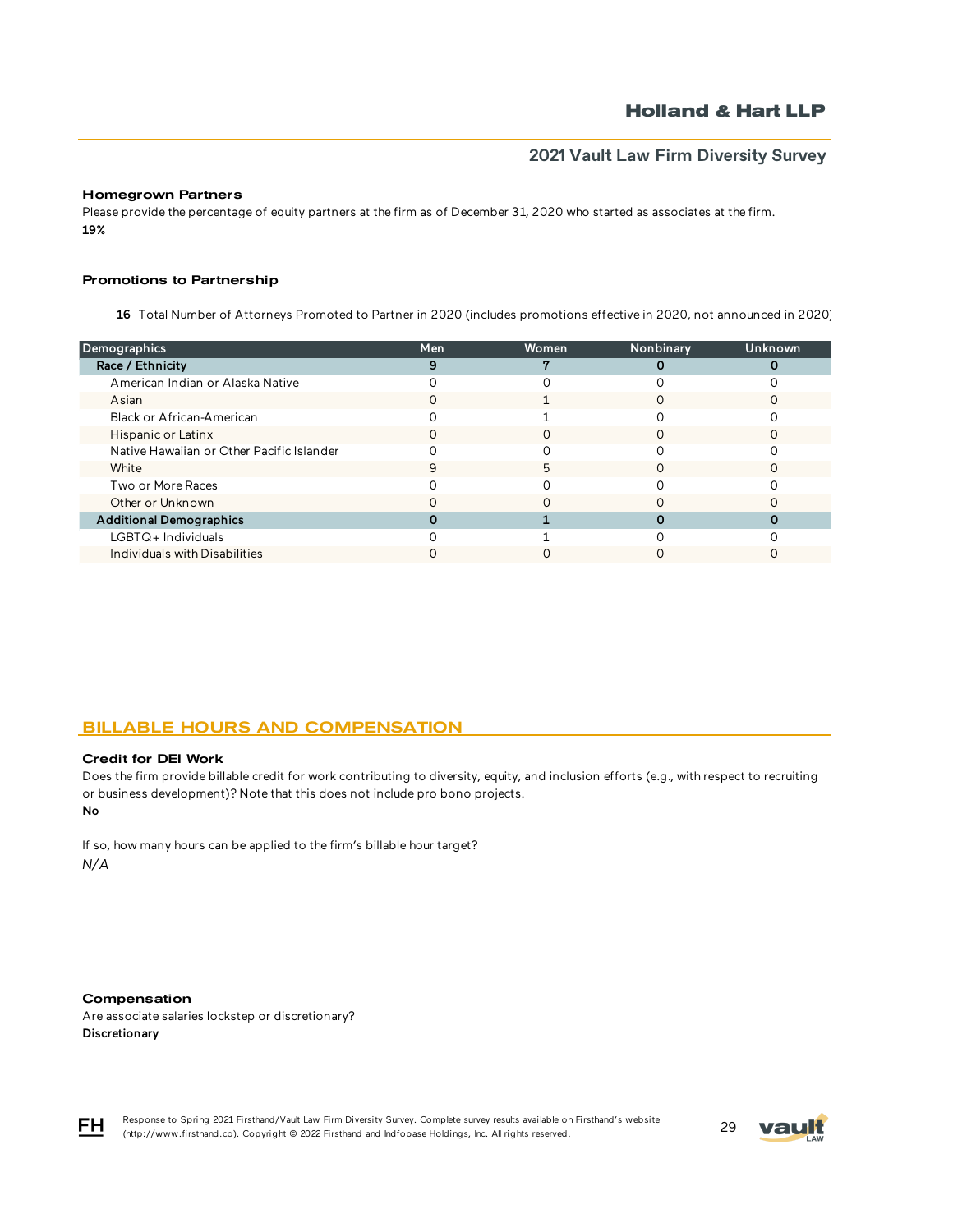#### Homegrown Partners

Please provide the percentage of equity partners at the firm as of December 31, 2020 who started as associates at the firm. 19%

#### Promotions to Partnership

16 Total Number of Attorneys Promoted to Partner in 2020 (includes promotions effective in 2020, not announced in 2020)

| Demographics                              | Men | Women | Nonbinary | Unknown |
|-------------------------------------------|-----|-------|-----------|---------|
| Race / Ethnicity                          |     |       |           |         |
| American Indian or Alaska Native          |     |       |           |         |
| Asian                                     | ი   |       |           |         |
| Black or African-American                 |     |       |           |         |
| Hispanic or Latinx                        |     |       |           |         |
| Native Hawaiian or Other Pacific Islander |     |       |           |         |
| White                                     |     | 5     |           |         |
| Two or More Races                         |     |       |           |         |
| Other or Unknown                          |     |       |           |         |
| <b>Additional Demographics</b>            |     |       |           |         |
| $LGBTQ+$ Individuals                      |     |       |           |         |
| Individuals with Disabilities             |     |       |           |         |
|                                           |     |       |           |         |

## BILLABLE HOURS AND COMPENSATION

#### Credit for DEI Work

No Does the firm provide billable credit for work contributing to diversity, equity, and inclusion efforts (e.g., with respect to recruiting or business development)? Note that this does not include pro bono projects.

If so, how many hours can be applied to the firm's billable hour target? *N/A*

#### Compensation

Are associate salaries lockstep or discretionary? **Discretionary** 



Response to Spring 2021 Firsthand/Vault Law Firm Diversity Survey. Complete survey results available on Firsthand's website Response to Spring 2021 Firsthand/Vault Law Firm Diversity Survey. Complete survey results available on Firsthand's website<br>(http://www.firsthand.co). Copyright © 2022 Firsthand and Indfobase Holdings, Inc. All rights rese

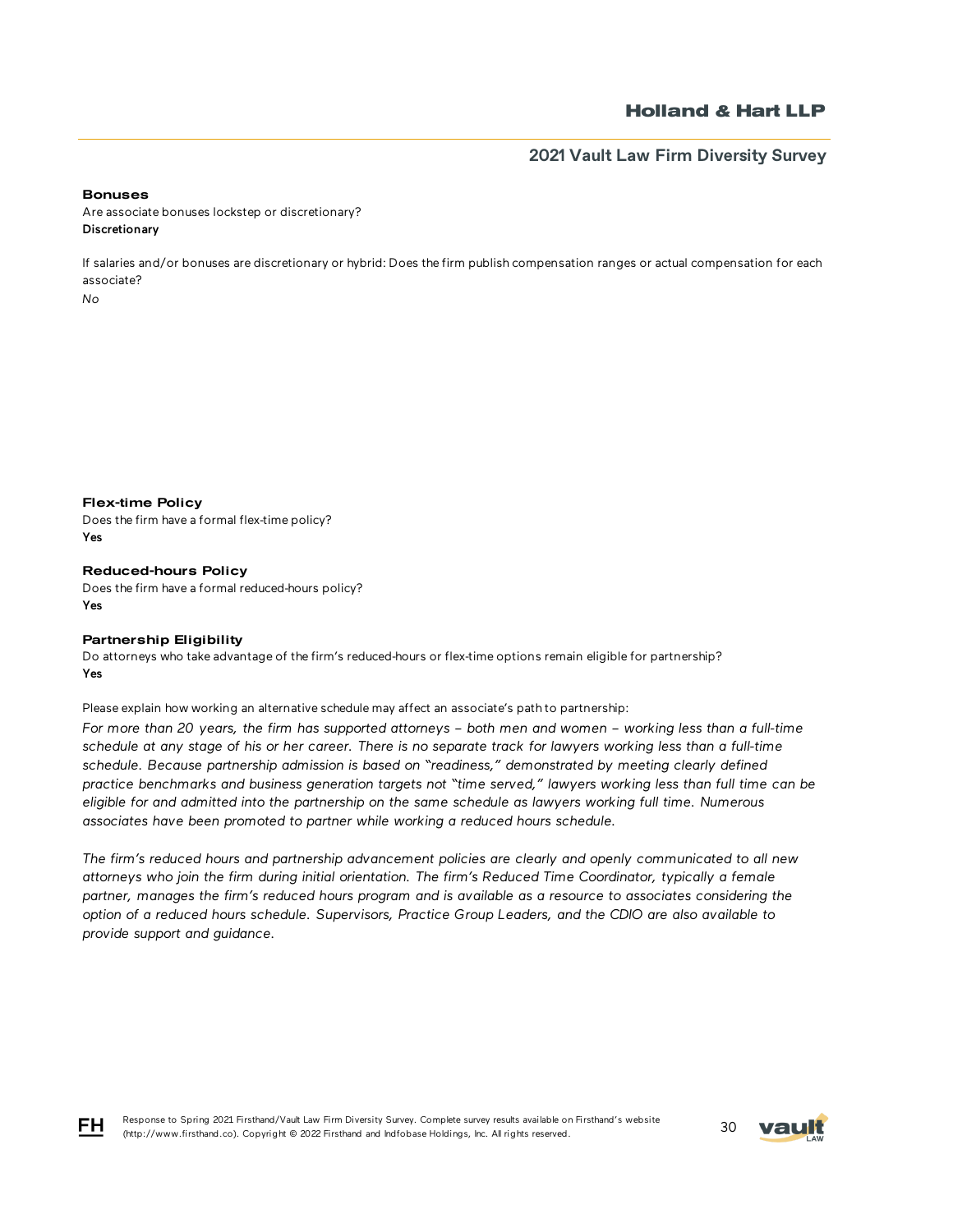## **2021 Vault Law Firm Diversity Survey**

#### Bonuses

Are associate bonuses lockstep or discretionary? **Discretionary** 

If salaries and/or bonuses are discretionary or hybrid: Does the firm publish compensation ranges or actual compensation for each associate?

*No*

Flex-time Policy

Does the firm have a formal flex-time policy? Yes

Reduced-hours Policy Does the firm have a formal reduced-hours policy? Yes

#### Partnership Eligibility

Do attorneys who take advantage of the firm's reduced-hours or flex-time options remain eligible for partnership? Yes

Please explain how working an alternative schedule may affect an associate's path to partnership:

*For more than 20 years, the firm has supported attorneys – both men and women – working less than a full-time schedule at any stage of his or her career. There is no separate track for lawyers working less than a full-time schedule. Because partnership admission is based on "readiness," demonstrated by meeting clearly defined practice benchmarks and business generation targets not "time served," lawyers working less than full time can be eligible for and admitted into the partnership on the same schedule as lawyers working full time. Numerous associates have been promoted to partner while working a reduced hours schedule.*

*The firm's reduced hours and partnership advancement policies are clearly and openly communicated to all new attorneys who join the firm during initial orientation. The firm's Reduced Time Coordinator, typically a female partner, manages the firm's reduced hours program and is available as a resource to associates considering the option of a reduced hours schedule. Supervisors, Practice Group Leaders, and the CDIO are also available to provide support and guidance.*



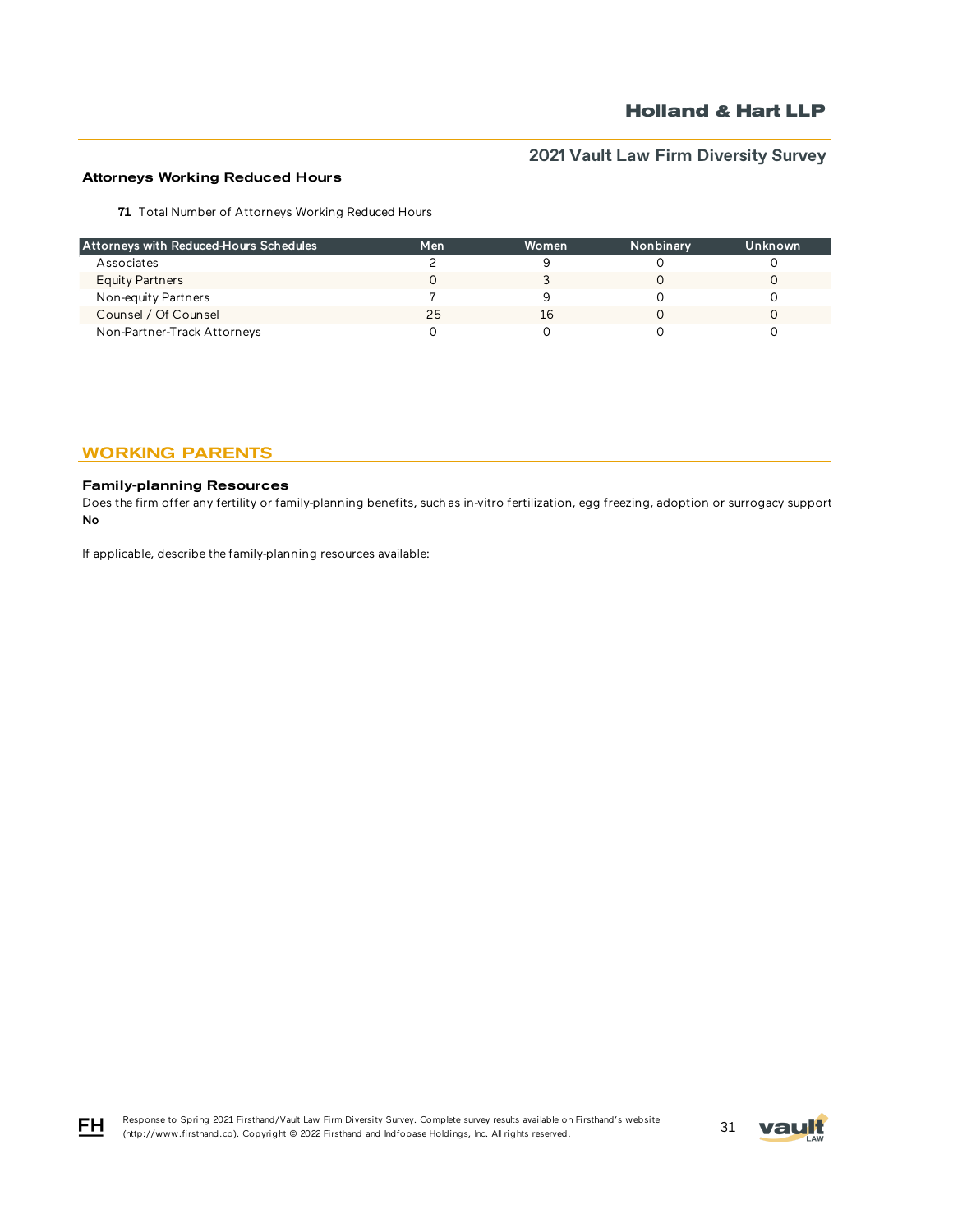# **2021 Vault Law Firm Diversity Survey**

#### Attorneys Working Reduced Hours

71 Total Number of Attorneys Working Reduced Hours

| Attorneys with Reduced-Hours Schedules | Men | Women | Nonbinary | Unknown |
|----------------------------------------|-----|-------|-----------|---------|
| Associates                             |     |       |           |         |
| <b>Equity Partners</b>                 |     |       |           |         |
| Non-equity Partners                    |     |       |           |         |
| Counsel / Of Counsel                   | 25  | 16    |           |         |
| Non-Partner-Track Attorneys            |     |       |           |         |

## WORKING PARENTS

#### Family-planning Resources

 $FH$ 

Does the firm offer any fertility or family-planning benefits, such as in-vitro fertilization, egg freezing, adoption or surrogacy support? No

If applicable, describe the family-planning resources available:

Response to Spring 2021 Firsthand/Vault Law Firm Diversity Survey. Complete survey results available on Firsthand's website (http://www.firsthand.co). Copyright © 2022 Firsthand and Indfobase Holdings, Inc. All rights reserved. 31

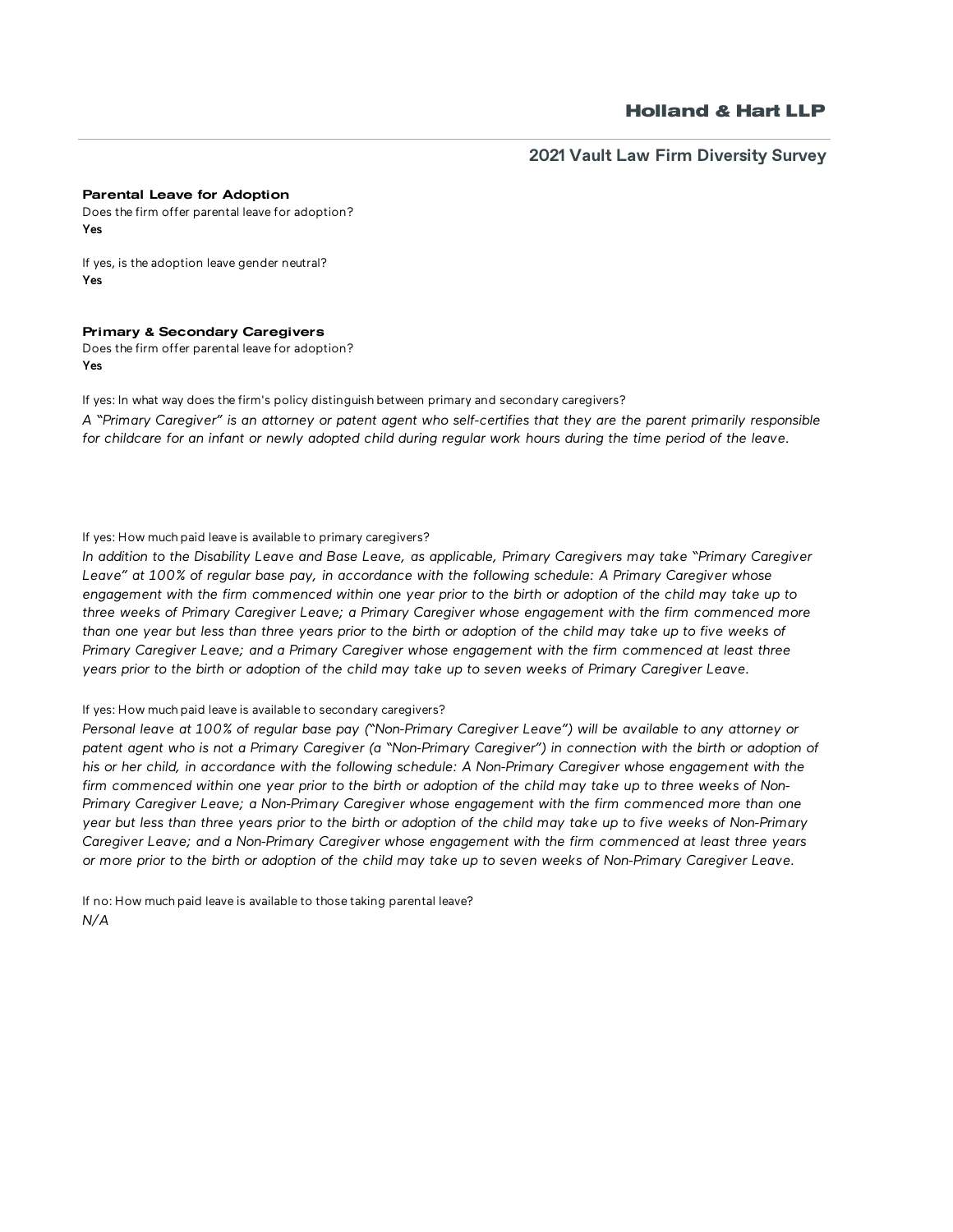#### Parental Leave for Adoption

Does the firm offer parental leave for adoption? Yes

If yes, is the adoption leave gender neutral? Yes

#### Primary & Secondary Caregivers

Does the firm offer parental leave for adoption? Yes

If yes: In what way does the firm's policy distinguish between primary and secondary caregivers?

*A "Primary Caregiver" is an attorney or patent agent who self-certifies that they are the parent primarily responsible for childcare for an infant or newly adopted child during regular work hours during the time period of the leave.*

If yes: How much paid leave is available to primary caregivers?

*In addition to the Disability Leave and Base Leave, as applicable, Primary Caregivers may take "Primary Caregiver Leave" at 100% of regular base pay, in accordance with the following schedule: A Primary Caregiver whose engagement with the firm commenced within one year prior to the birth or adoption of the child may take up to three weeks of Primary Caregiver Leave; a Primary Caregiver whose engagement with the firm commenced more than one year but less than three years prior to the birth or adoption of the child may take up to five weeks of Primary Caregiver Leave; and a Primary Caregiver whose engagement with the firm commenced at least three years prior to the birth or adoption of the child may take up to seven weeks of Primary Caregiver Leave.*

#### If yes: How much paid leave is available to secondary caregivers?

*Personal leave at 100% of regular base pay ("Non-Primary Caregiver Leave") will be available to any attorney or*  patent agent who is not a Primary Caregiver (a "Non-Primary Caregiver") in connection with the birth or adoption of *his or her child, in accordance with the following schedule: A Non-Primary Caregiver whose engagement with the firm commenced within one year prior to the birth or adoption of the child may take up to three weeks of Non-Primary Caregiver Leave; a Non-Primary Caregiver whose engagement with the firm commenced more than one year but less than three years prior to the birth or adoption of the child may take up to five weeks of Non-Primary Caregiver Leave; and a Non-Primary Caregiver whose engagement with the firm commenced at least three years or more prior to the birth or adoption of the child may take up to seven weeks of Non-Primary Caregiver Leave.*

If no: How much paid leave is available to those taking parental leave? *N/A*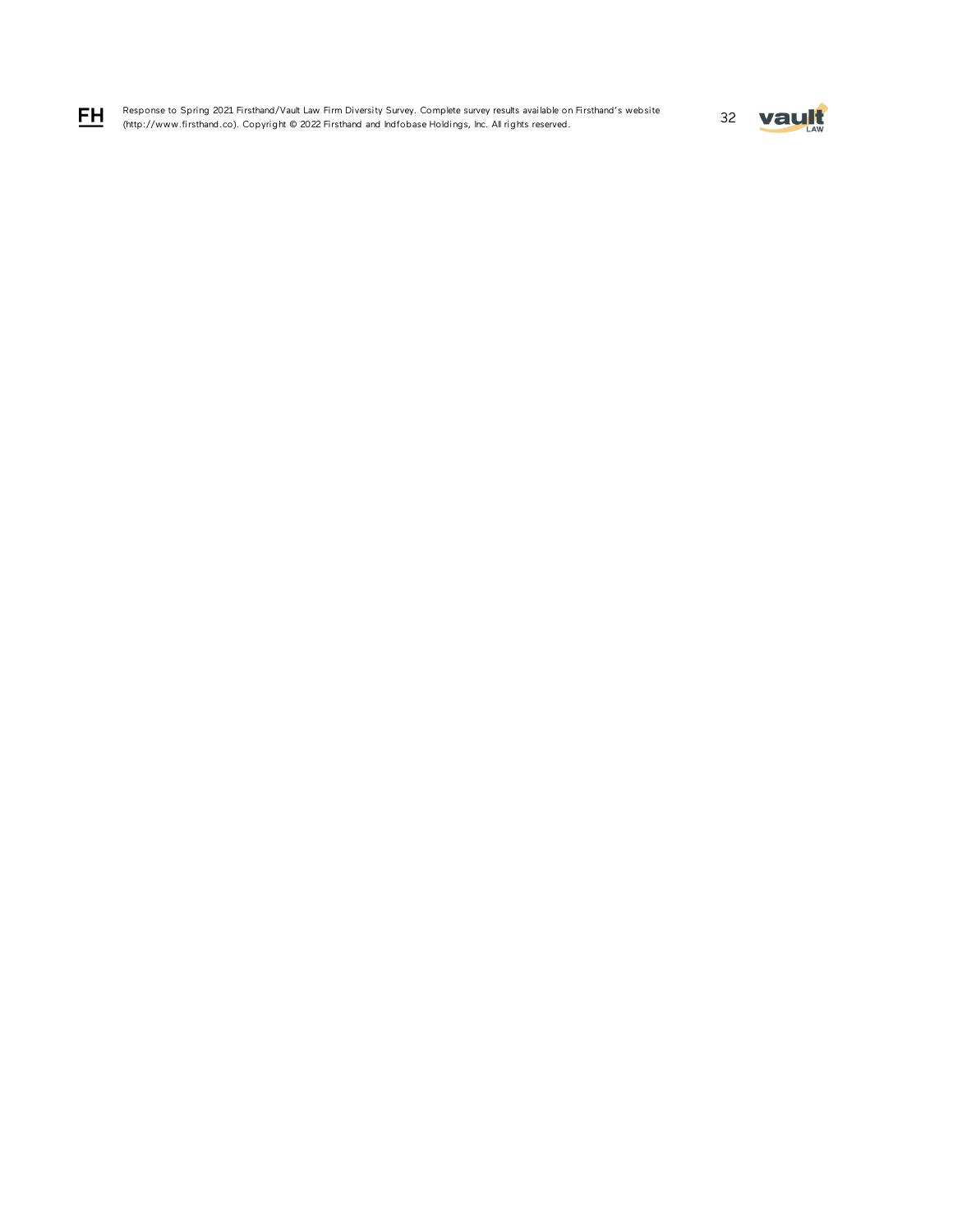**FH** 

Response to Spring 2021 Firsthand/Vault Law Firm Diversity Survey. Complete survey results available on Firsthand's website [32<br>(http://www.firsthand.co). Copyright © 2022 Firsthand and Indfobase Holdings, Inc. All rights

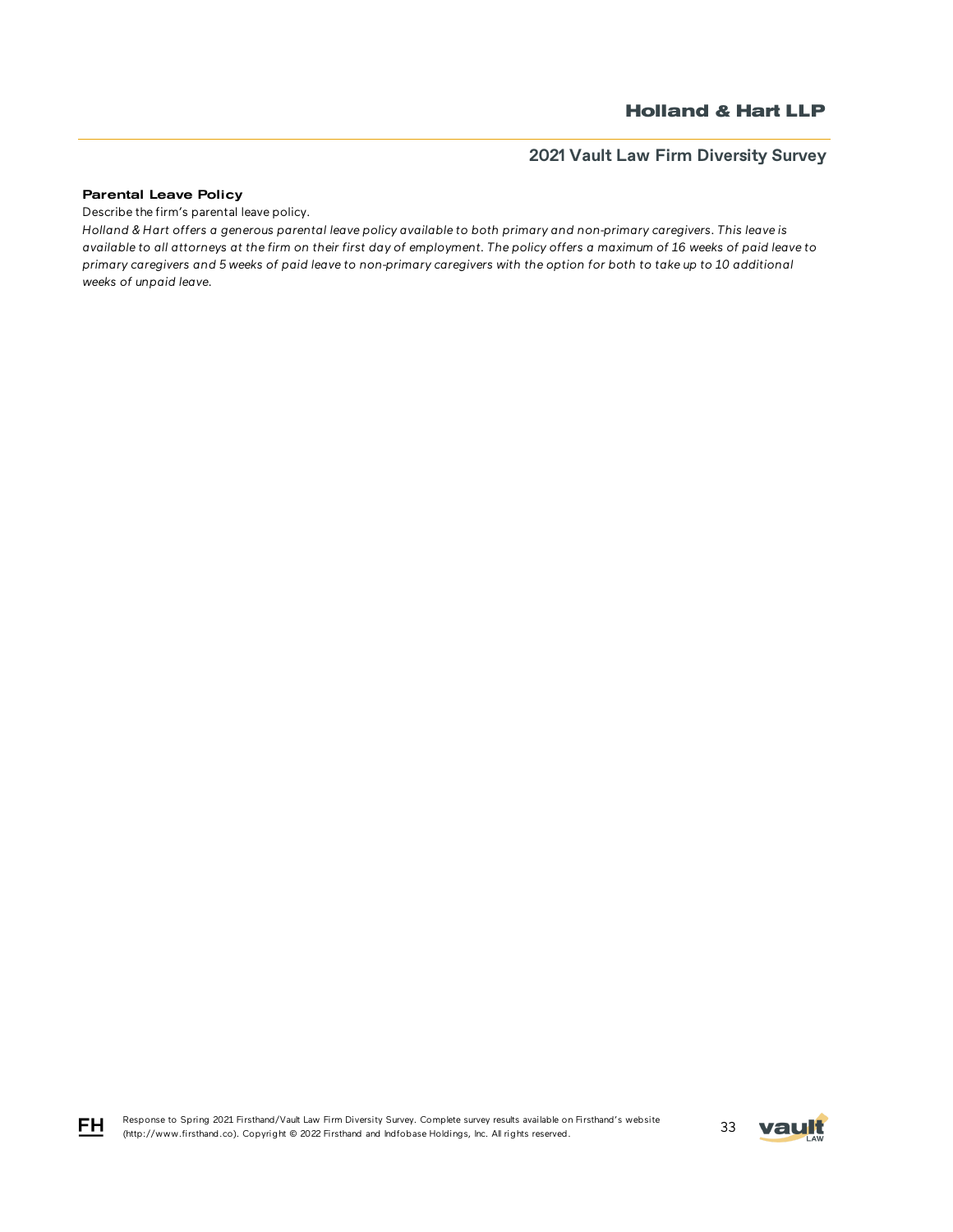#### Parental Leave Policy

FH

Describe the firm's parental leave policy.

*Holland & Hart offers a generous parental leave policy available to both primary and non-primary caregivers. This leave is available to all attorneys at the firm on their first day of employment. The policy offers a maximum of 16 weeks of paid leave to primary caregivers and 5 weeks of paid leave to non-primary caregivers with the option for both to take up to 10 additional weeks of unpaid leave.*

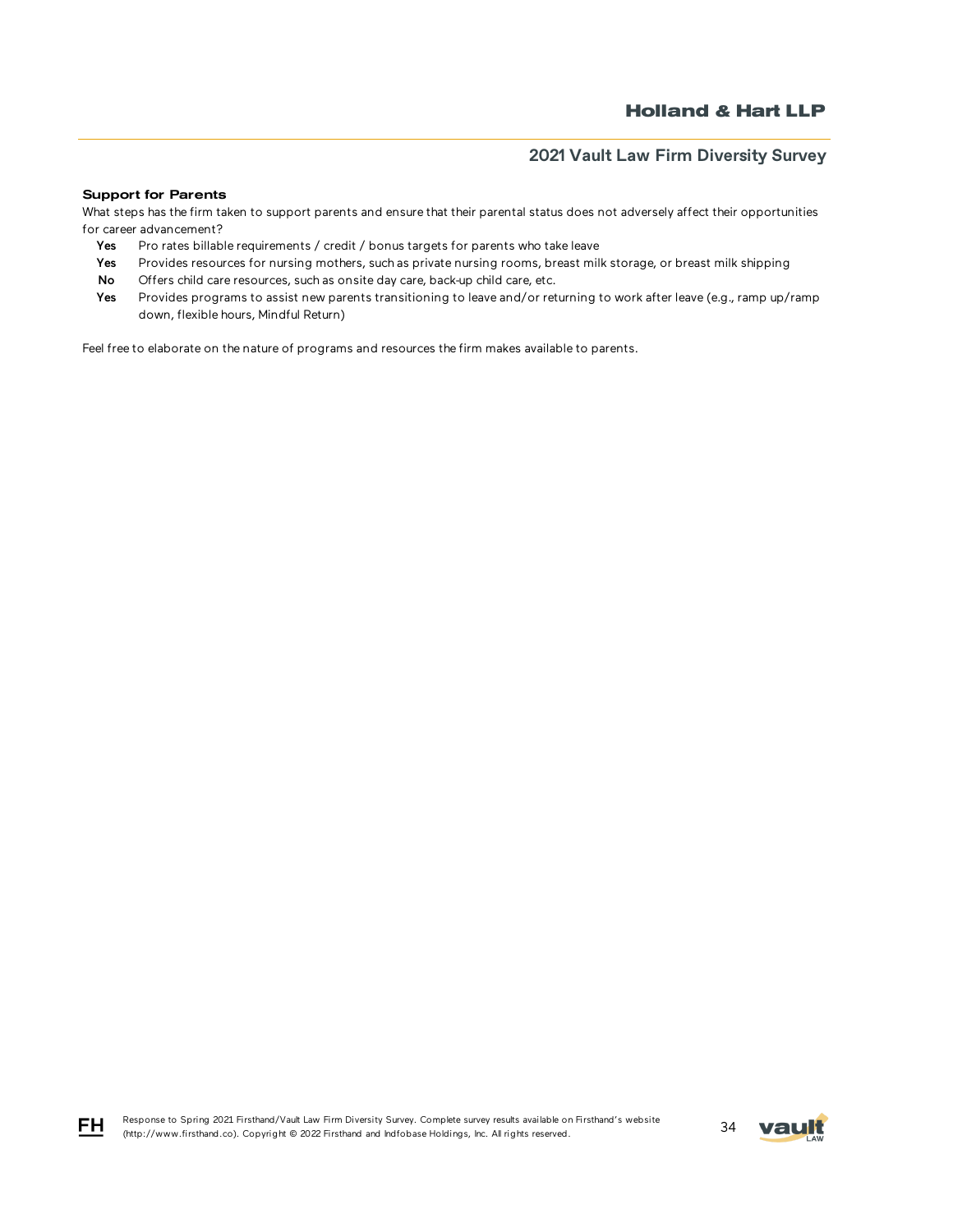#### Support for Parents

What steps has the firm taken to support parents and ensure that their parental status does not adversely affect their opportunities for career advancement?

- Yes Pro rates billable requirements / credit / bonus targets for parents who take leave
- Yes Provides resources for nursing mothers, such as private nursing rooms, breast milk storage, or breast milk shipping
- No Offers child care resources, such as onsite day care, back-up child care, etc.
- Yes Provides programs to assist new parents transitioning to leave and/or returning to work after leave (e.g., ramp up/ramp down, flexible hours, Mindful Return)

Feel free to elaborate on the nature of programs and resources the firm makes available to parents.





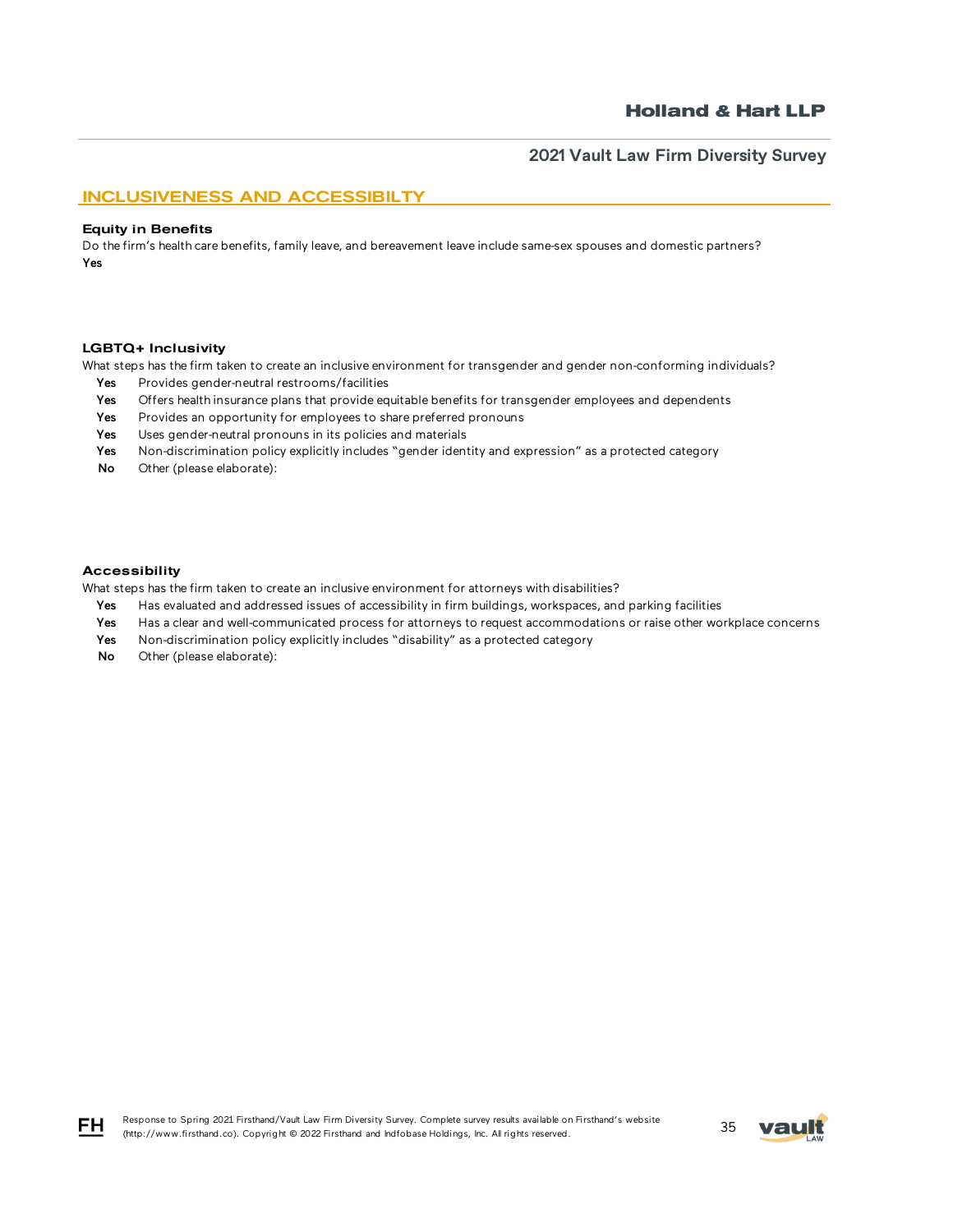## INCLUSIVENESS AND ACCESSIBILTY

#### Equity in Benefits

Do the firm's health care benefits, family leave, and bereavement leave include same-sex spouses and domestic partners? Yes

#### LGBTQ+ Inclusivity

What steps has the firm taken to create an inclusive environment for transgender and gender non-conforming individuals?

- Yes Provides gender-neutral restrooms/facilities
- Yes Offers health insurance plans that provide equitable benefits for transgender employees and dependents
- Yes Provides an opportunity for employees to share preferred pronouns
- Yes Uses gender-neutral pronouns in its policies and materials
- Yes Non-discrimination policy explicitly includes "gender identity and expression" as a protected category
- No Other (please elaborate):

#### Accessibility

What steps has the firm taken to create an inclusive environment for attorneys with disabilities?

- Yes Has evaluated and addressed issues of accessibility in firm buildings, workspaces, and parking facilities
- Yes Has a clear and well-communicated process for attorneys to request accommodations or raise other workplace concerns
- Yes Non-discrimination policy explicitly includes "disability" as a protected category
- No Other (please elaborate):

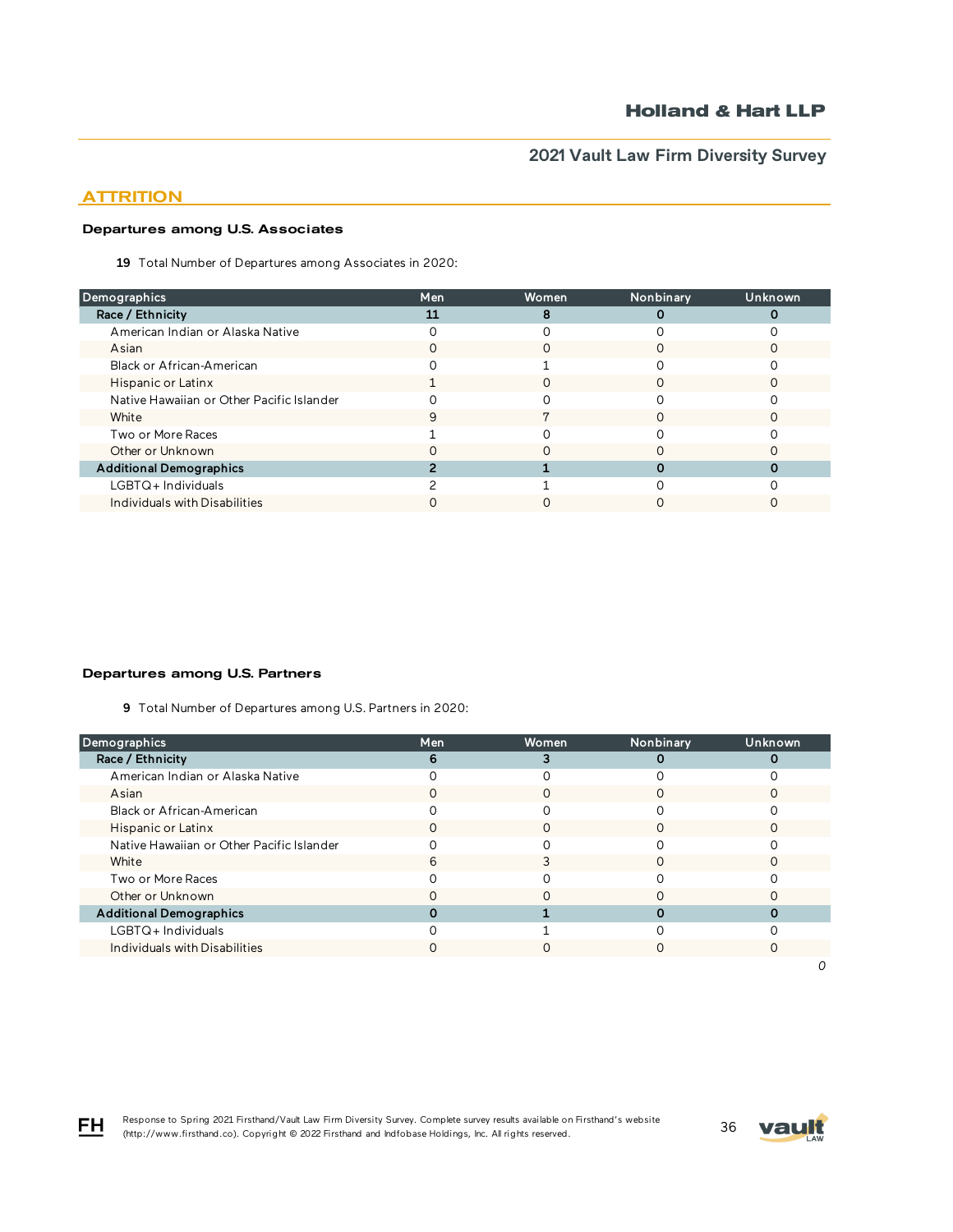## **ATTRITION**

#### Departures among U.S. Associates

19 Total Number of Departures among Associates in 2020:

| Demographics                              | Men | Women | Nonbinary | Unknown |
|-------------------------------------------|-----|-------|-----------|---------|
| Race / Ethnicity                          | 11  | ō     |           |         |
| American Indian or Alaska Native          |     |       |           |         |
| Asian                                     |     |       |           |         |
| Black or African-American                 |     |       |           |         |
| Hispanic or Latinx                        |     | O     | ∩         |         |
| Native Hawaiian or Other Pacific Islander |     |       |           |         |
| White                                     | 9   |       |           |         |
| Two or More Races                         |     |       |           |         |
| Other or Unknown                          |     |       |           |         |
| <b>Additional Demographics</b>            |     |       |           |         |
| $LGBTQ+$ Individuals                      |     |       |           |         |
| Individuals with Disabilities             |     |       |           |         |
|                                           |     |       |           |         |

#### Departures among U.S. Partners

9 Total Number of Departures among U.S. Partners in 2020:

| Demographics                              | Men | Women | Nonbinary | Unknown |
|-------------------------------------------|-----|-------|-----------|---------|
| Race / Ethnicity                          | n   |       |           |         |
| American Indian or Alaska Native          |     |       |           |         |
| Asian                                     |     |       |           |         |
| Black or African-American                 |     |       |           |         |
| Hispanic or Latinx                        |     |       |           |         |
| Native Hawaiian or Other Pacific Islander |     |       |           |         |
| White                                     |     |       |           |         |
| Two or More Races                         |     |       |           |         |
| Other or Unknown                          |     |       |           |         |
| <b>Additional Demographics</b>            |     |       |           |         |
| LGBTQ+Individuals                         |     |       |           |         |
| Individuals with Disabilities             |     |       |           |         |
|                                           |     |       |           |         |

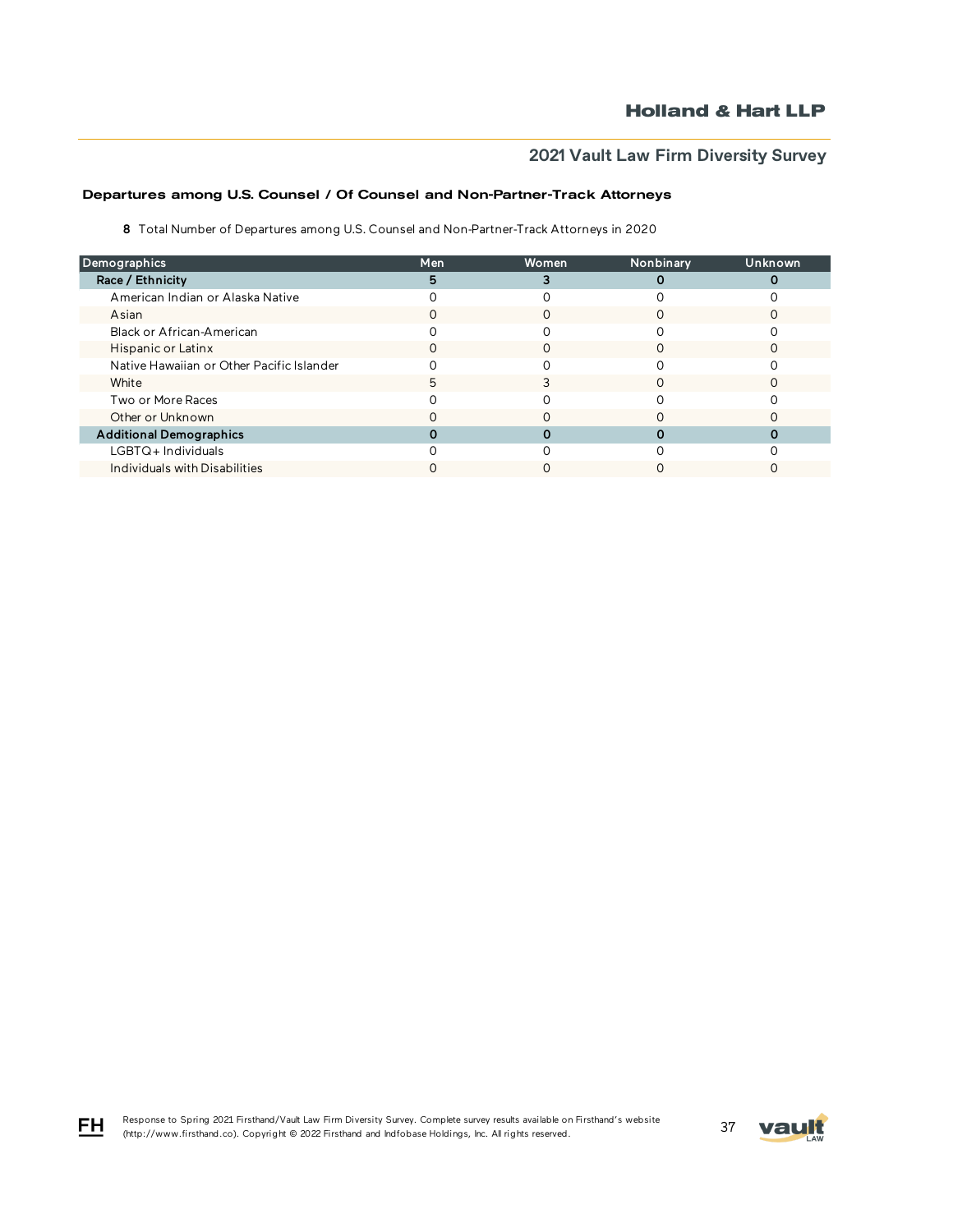## Departures among U.S. Counsel / Of Counsel and Non-Partner-Track Attorneys

8 Total Number of Departures among U.S. Counsel and Non-Partner-Track Attorneys in 2020

| Demographics                              | Men | Women | Nonbinary | Unknown |
|-------------------------------------------|-----|-------|-----------|---------|
| Race / Ethnicity                          |     |       |           |         |
| American Indian or Alaska Native          |     |       |           |         |
| Asian                                     |     |       |           |         |
| Black or African-American                 |     |       |           |         |
| Hispanic or Latinx                        | O   | O     | ∩         |         |
| Native Hawaiian or Other Pacific Islander |     |       |           |         |
| White                                     |     |       |           |         |
| Two or More Races                         |     |       |           |         |
| Other or Unknown                          |     |       |           |         |
| <b>Additional Demographics</b>            |     |       |           |         |
| LGBTQ+Individuals                         |     |       |           |         |
| Individuals with Disabilities             |     |       |           |         |

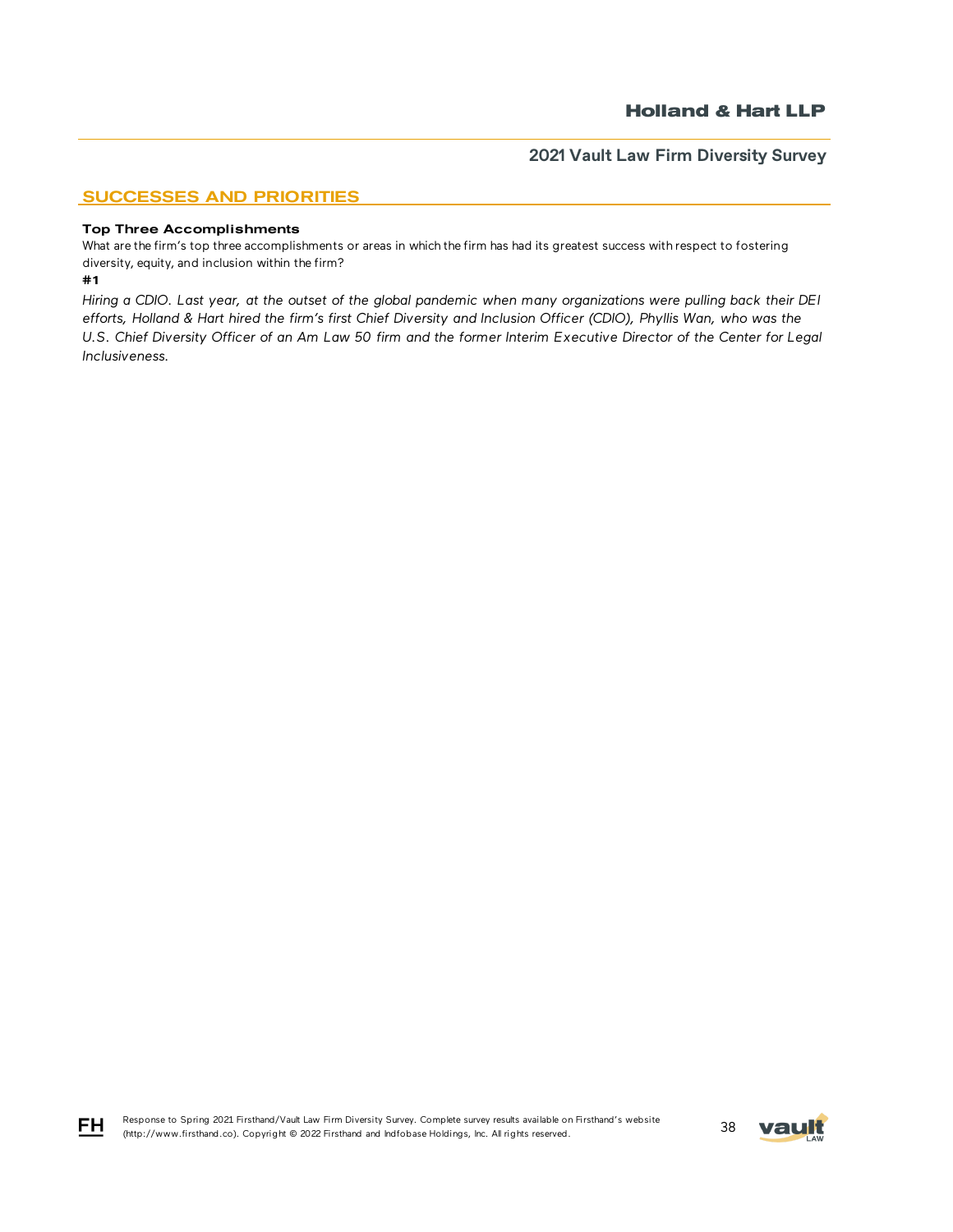## SUCCESSES AND PRIORITIES

#### Top Three Accomplishments

What are the firm's top three accomplishments or areas in which the firm has had its greatest success with respect to fostering diversity, equity, and inclusion within the firm?

#### #1

*Hiring a CDIO. Last year, at the outset of the global pandemic when many organizations were pulling back their DEI efforts, Holland & Hart hired the firm's first Chief Diversity and Inclusion Officer (CDIO), Phyllis Wan, who was the U.S. Chief Diversity Officer of an Am Law 50 firm and the former Interim Executive Director of the Center for Legal Inclusiveness.*



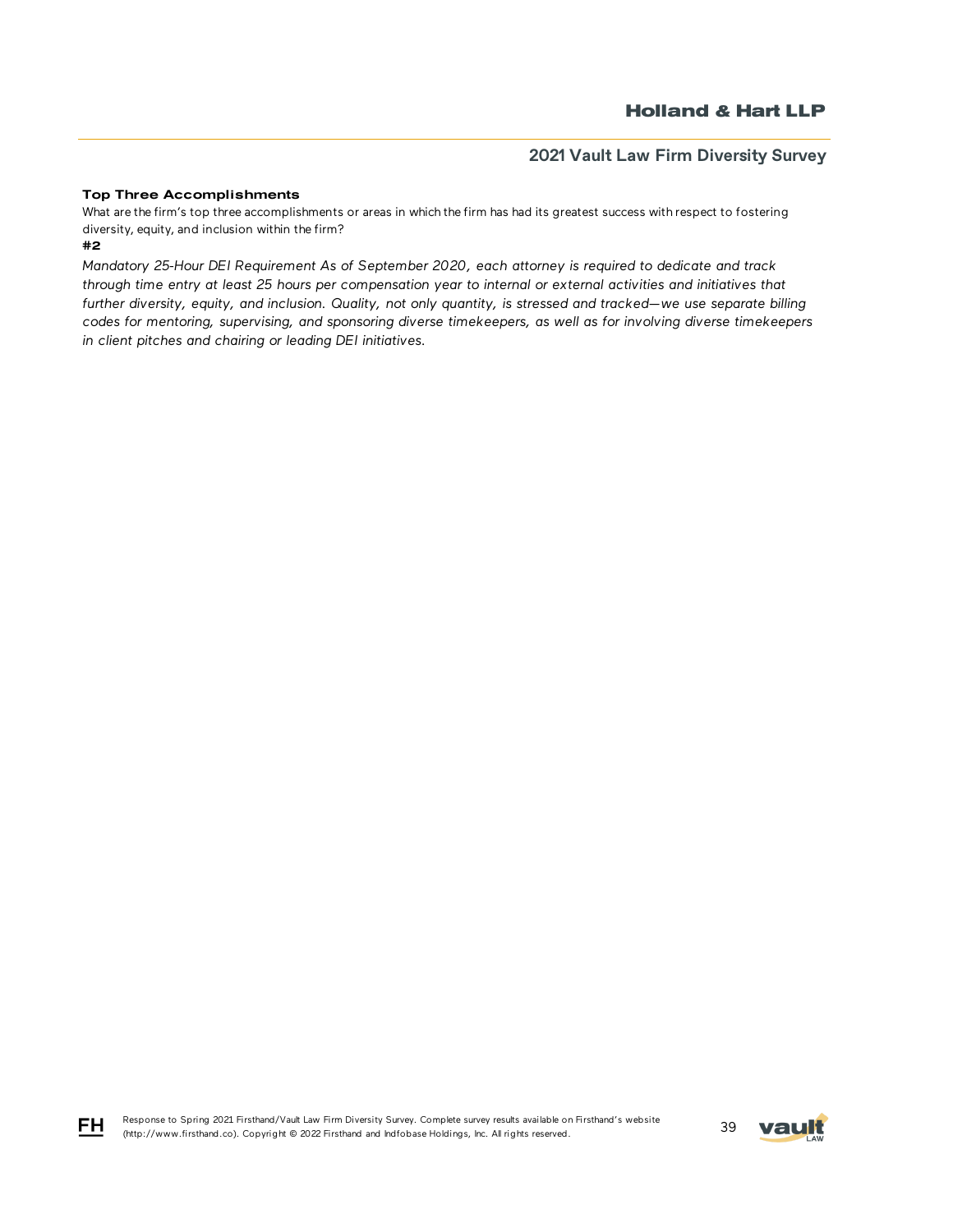#### Top Three Accomplishments

What are the firm's top three accomplishments or areas in which the firm has had its greatest success with respect to fostering diversity, equity, and inclusion within the firm?

#2

FH

*Mandatory 25-Hour DEI Requirement As of September 2020, each attorney is required to dedicate and track through time entry at least 25 hours per compensation year to internal or external activities and initiatives that further diversity, equity, and inclusion. Quality, not only quantity, is stressed and tracked—we use separate billing codes for mentoring, supervising, and sponsoring diverse timekeepers, as well as for involving diverse timekeepers in client pitches and chairing or leading DEI initiatives.*

Response to Spring 2021 Firsthand/Vault Law Firm Diversity Survey. Complete survey results available on Firsthand's website Response to Spring 2021 Firsthand/Vault Law Firm Diversity Survey. Complete survey results available on Firsthand's website<br>(http://www.firsthand.co). Copyright © 2022 Firsthand and Indfobase Holdings, Inc. All rights rese

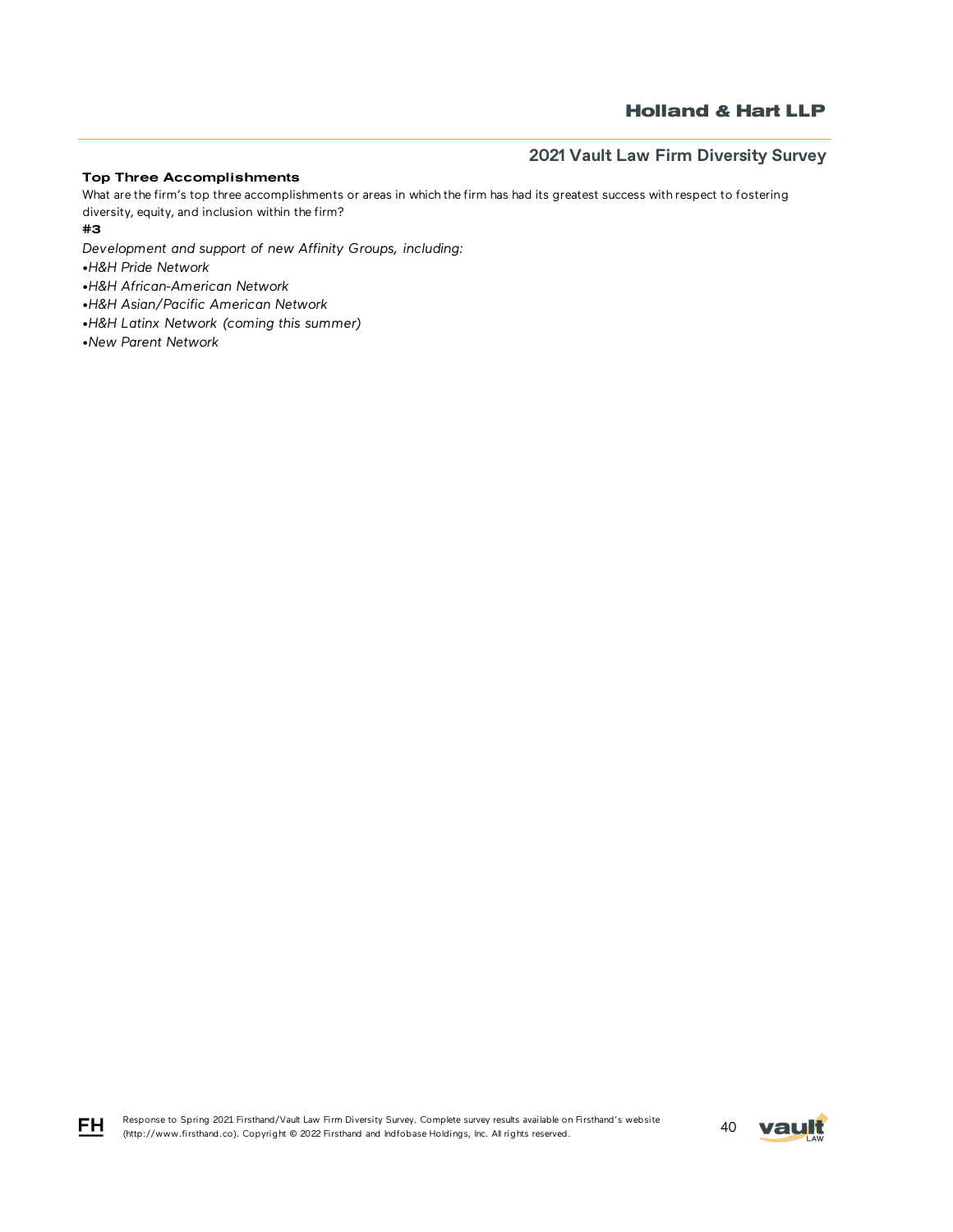### Top Three Accomplishments

What are the firm's top three accomplishments or areas in which the firm has had its greatest success with respect to fostering diversity, equity, and inclusion within the firm?

### #3

FH

*Development and support of new Affinity Groups, including:*

*•H&H Pride Network*

- *•H&H African-American Network*
- *•H&H Asian/Pacific American Network*
- *•H&H Latinx Network (coming this summer)*

*•New Parent Network*

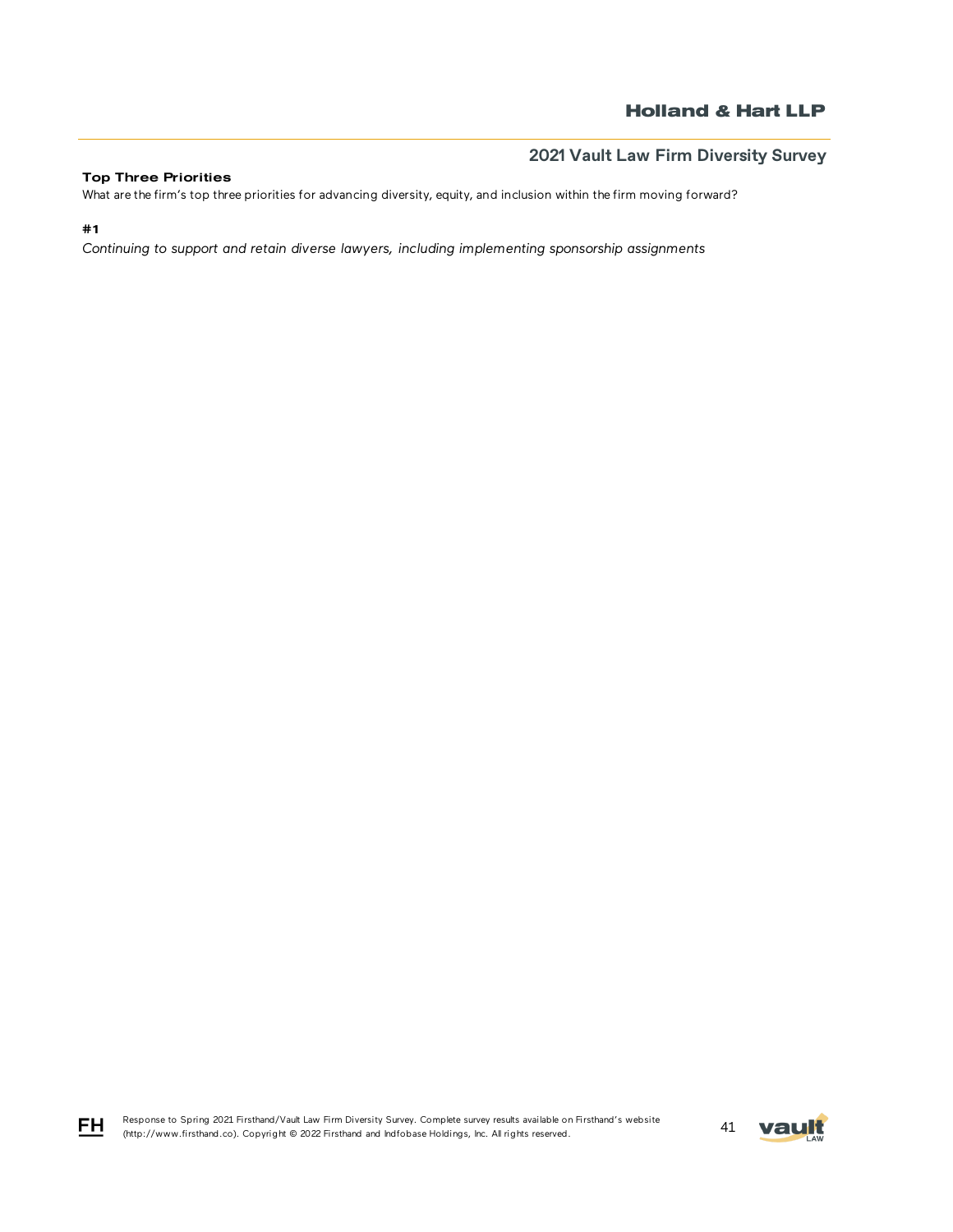# **2021 Vault Law Firm Diversity Survey**

### Top Three Priorities

What are the firm's top three priorities for advancing diversity, equity, and inclusion within the firm moving forward?

#1

FH

*Continuing to support and retain diverse lawyers, including implementing sponsorship assignments*

Response to Spring 2021 Firsthand/Vault Law Firm Diversity Survey. Complete survey results available on Firsthand's website Response to Spring 2021 Firstnand/Vault Law Firm Diversity Survey. Complete survey results available on Firstnand s website 41 **Vault** 

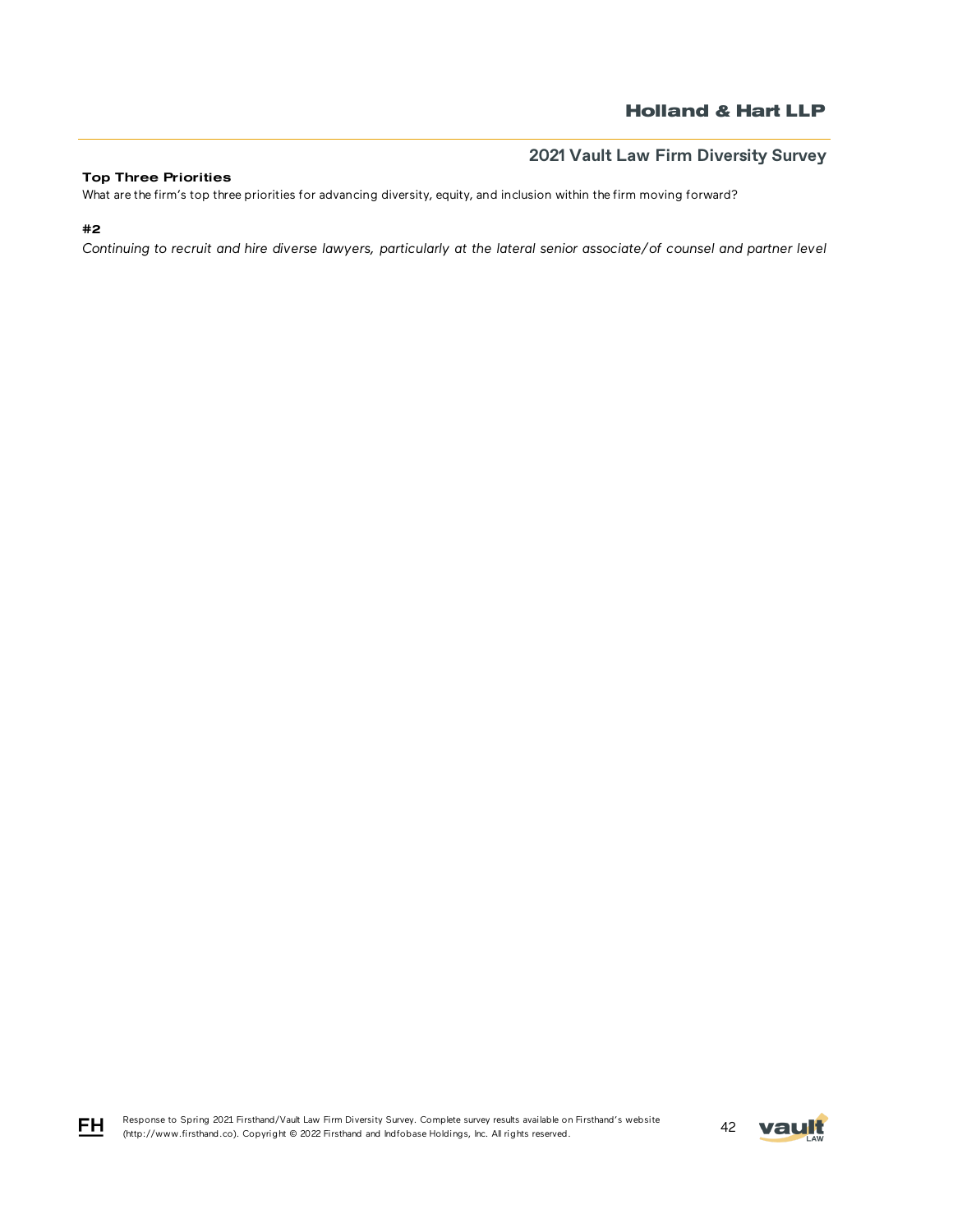# **2021 Vault Law Firm Diversity Survey**

### Top Three Priorities

What are the firm's top three priorities for advancing diversity, equity, and inclusion within the firm moving forward?

#2

*Continuing to recruit and hire diverse lawyers, particularly at the lateral senior associate/of counsel and partner level*



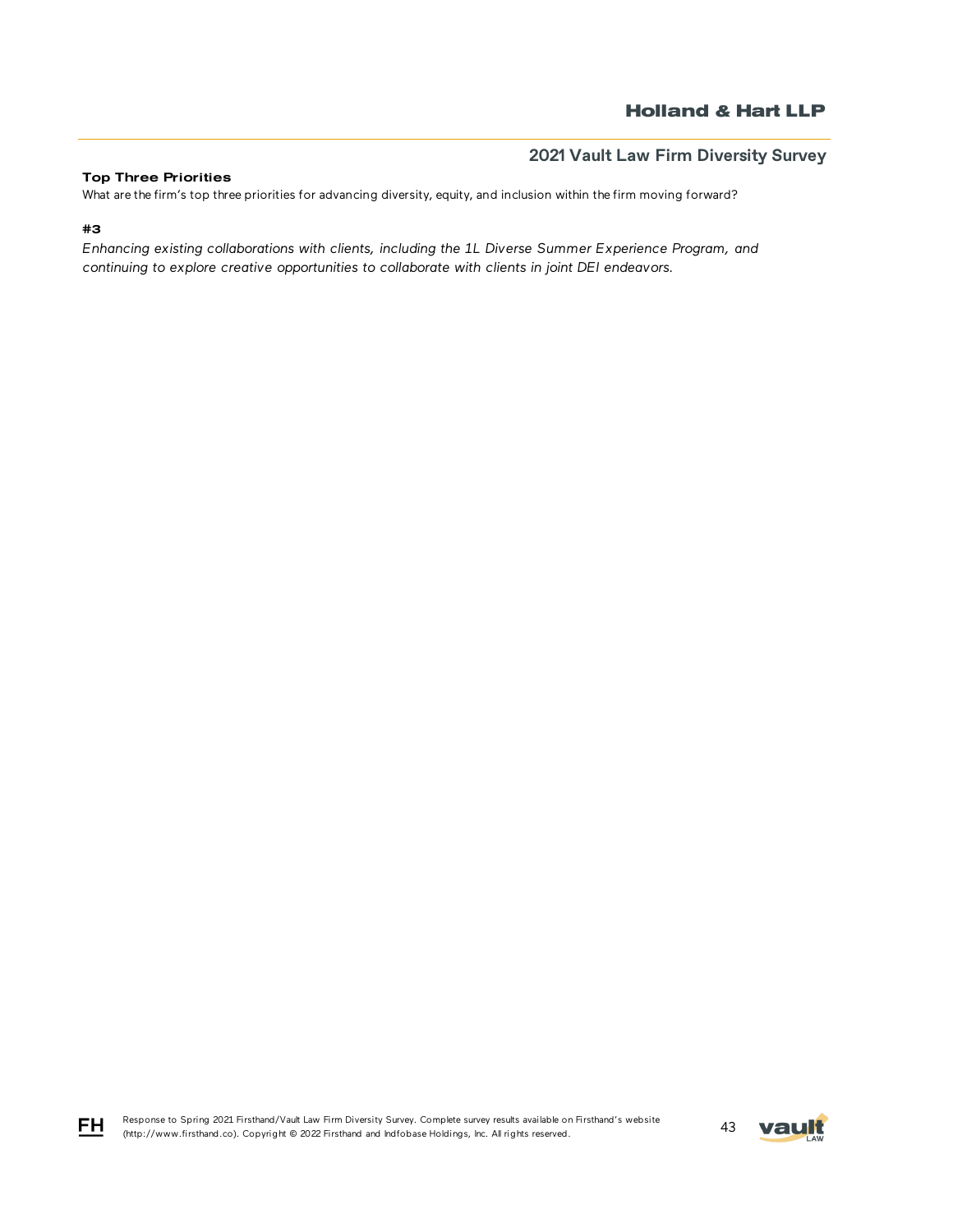### Top Three Priorities

What are the firm's top three priorities for advancing diversity, equity, and inclusion within the firm moving forward?

## #3

FH

*Enhancing existing collaborations with clients, including the 1L Diverse Summer Experience Program, and continuing to explore creative opportunities to collaborate with clients in joint DEI endeavors.*